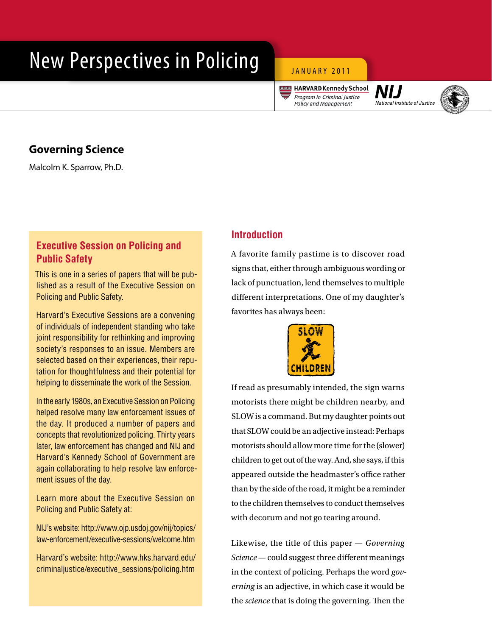# New Perspectives in Policing

## JANUARY 2011

HARVARD Kennedy School Program in Criminal Justice Policy and Management



# **Governing Science**

Malcolm K. Sparrow, Ph.D.

# **Executive Session on Policing and Public Safety**

 This is one in a series of papers that will be pub- lished as a result of the Executive Session on Policing and Public Safety.

 Harvard's Executive Sessions are a convening of individuals of independent standing who take joint responsibility for rethinking and improving society's responses to an issue. Members are selected based on their experiences, their repu- tation for thoughtfulness and their potential for helping to disseminate the work of the Session.

 In the early 1980s, an Executive Session on Policing helped resolve many law enforcement issues of the day. It produced a number of papers and concepts that revolutionized policing. Thirty years Harvard's Kennedy School of Government are again collaborating to help resolve law enforce- ment issues of the day. later, law enforcement has changed and NIJ and

 Learn more about the Executive Session on Policing and Public Safety at:

 NIJ's website: http://www.ojp.usdoj.gov/nij/topics/ law-enforcement/executive-sessions/welcome.htm

 Harvard's website: http://www.hks.harvard.edu/ criminaljustice/executive\_sessions/policing.htm

# **Introduction**

 A favorite family pastime is to discover road signs that, either through ambiguous wording or lack of punctuation, lend themselves to multiple different interpretations. One of my daughter's favorites has always been:



 If read as presumably intended, the sign warns motorists there might be children nearby, and SLOW is a command. But my daughter points out that SLOW could be an adjective instead: Perhaps motorists should allow more time for the (slower) children to get out of the way. And, she says, if this than by the side of the road, it might be a reminder to the children themselves to conduct themselves with decorum and not go tearing around. appeared outside the headmaster's office rather

 Likewise, the title of this paper — *Governing Science* — could suggest three different meanings in the context of policing. Perhaps the word *gov-* the *science* that is doing the governing. Then the *erning* is an adjective, in which case it would be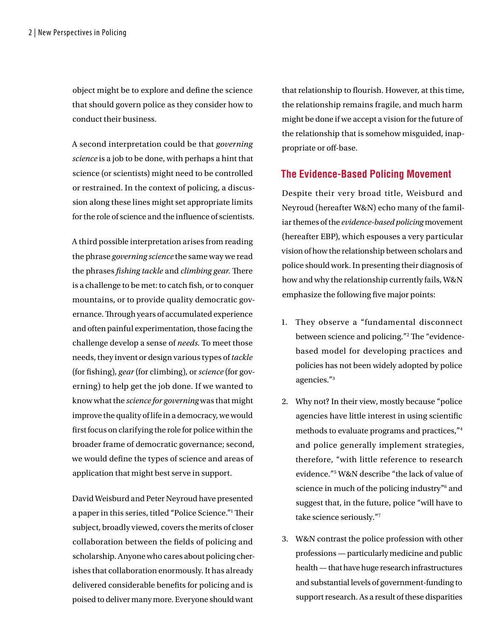object might be to explore and define the science conduct their business. that should govern police as they consider how to

 A second interpretation could be that *governing science* is a job to be done, with perhaps a hint that science (or scientists) might need to be controlled or restrained. In the context of policing, a discus- sion along these lines might set appropriate limits for the role of science and the influence of scientists.

 A third possible interpretation arises from reading the phrase *governing science* the same way we read the phrases *fishing tackle* and *climbing gear.* There is a challenge to be met: to catch fish, or to conquer mountains, or to provide quality democratic gov- ernance. Through years of accumulated experience and often painful experimentation, those facing the challenge develop a sense of *needs.* To meet those needs, they invent or design various types of *tackle*  (for fishing), *gear* (for climbing), or *science* (for gov- erning) to help get the job done. If we wanted to know what the *science for governing* was that might improve the quality of life in a democracy, we would first focus on clarifying the role for police within the broader frame of democratic governance; second, we would define the types of science and areas of application that might best serve in support.

 David Weisburd and Peter Neyroud have presented a paper in this series, titled "Police Science."1 Their subject, broadly viewed, covers the merits of closer collaboration between the fields of policing and scholarship. Anyone who cares about policing cher- ishes that collaboration enormously. It has already delivered considerable benefits for policing and is poised to deliver many more. Everyone should want  that relationship to flourish. However, at this time, the relationship remains fragile, and much harm might be done if we accept a vision for the future of the relationship that is somehow misguided, inap-propriate or off-base.

## **The Evidence-Based Policing Movement**

 Despite their very broad title, Weisburd and Neyroud (hereafter W&N) echo many of the famil- iar themes of the *evidence-based policing* movement (hereafter EBP), which espouses a very particular vision of how the relationship between scholars and police should work. In presenting their diagnosis of how and why the relationship currently fails, W&N emphasize the following five major points:

- 1. They observe a "fundamental disconnect between science and policing."2 The "evidence- based model for developing practices and policies has not been widely adopted by police agencies."3
- 2. Why not? In their view, mostly because "police agencies have little interest in using scientific methods to evaluate programs and practices,"4 and police generally implement strategies, therefore, "with little reference to research evidence."5 W&N describe "the lack of value of science in much of the policing industry"6 and suggest that, in the future, police "will have to take science seriously."7
- 3. W&N contrast the police profession with other professions — particularly medicine and public health — that have huge research infrastructures and substantial levels of government-funding to support research. As a result of these disparities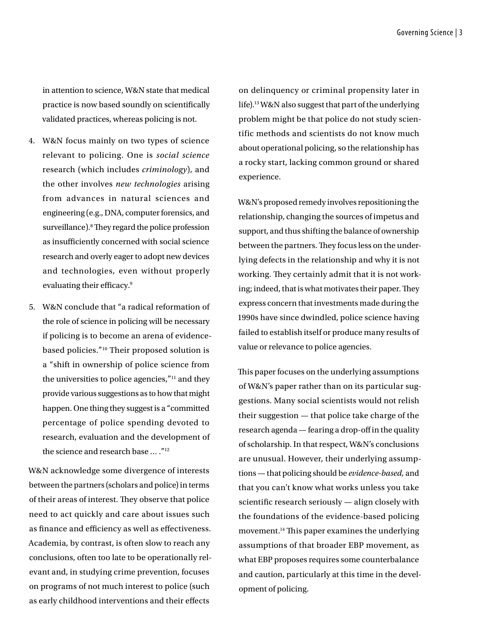in attention to science, W&N state that medical practice is now based soundly on scientifically validated practices, whereas policing is not.

- 4. W&N focus mainly on two types of science relevant to policing. One is *social science*  research (which includes *criminology*), and the other involves *new technologies* arising from advances in natural sciences and engineering (e.g., DNA, computer forensics, and surveillance).<sup>8</sup> They regard the police profession research and overly eager to adopt new devices and technologies, even without properly evaluating their efficacy.<sup>9</sup> as insufficiently concerned with social science
- 5. W&N conclude that "a radical reformation of the role of science in policing will be necessary if policing is to become an arena of evidence- based policies."10 Their proposed solution is a "shift in ownership of police science from the universities to police agencies,"11 and they provide various suggestions as to how that might happen. One thing they suggest is a "committed percentage of police spending devoted to research, evaluation and the development of the science and research base … ."12

 W&N acknowledge some divergence of interests between the partners (scholars and police) in terms of their areas of interest. They observe that police need to act quickly and care about issues such as finance and efficiency as well as effectiveness. Academia, by contrast, is often slow to reach any conclusions, often too late to be operationally rel- evant and, in studying crime prevention, focuses on programs of not much interest to police (such as early childhood interventions and their effects

 on delinquency or criminal propensity later in life).13 W&N also suggest that part of the underlying problem might be that police do not study scien- tific methods and scientists do not know much about operational policing, so the relationship has a rocky start, lacking common ground or shared experience.

 W&N's proposed remedy involves repositioning the relationship, changing the sources of impetus and support, and thus shifting the balance of ownership between the partners. They focus less on the under- lying defects in the relationship and why it is not working. They certainly admit that it is not work- ing; indeed, that is what motivates their paper. They express concern that investments made during the 1990s have since dwindled, police science having failed to establish itself or produce many results of value or relevance to police agencies.

 This paper focuses on the underlying assumptions of W&N's paper rather than on its particular sug- gestions. Many social scientists would not relish their suggestion — that police take charge of the research agenda — fearing a drop-off in the quality of scholarship. In that respect, W&N's conclusions are unusual. However, their underlying assump- tions — that policing should be *evidence-based,* and that you can't know what works unless you take scientific research seriously — align closely with the foundations of the evidence-based policing movement.14 This paper examines the underlying assumptions of that broader EBP movement, as what EBP proposes requires some counterbalance and caution, particularly at this time in the devel-opment of policing.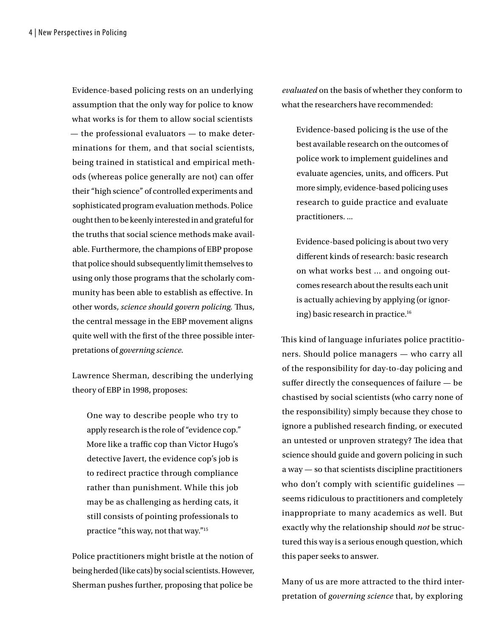Evidence-based policing rests on an underlying assumption that the only way for police to know what works is for them to allow social scientists — the professional evaluators — to make deter- minations for them, and that social scientists, being trained in statistical and empirical meth- ods (whereas police generally are not) can offer their "high science" of controlled experiments and sophisticated program evaluation methods. Police ought then to be keenly interested in and grateful for the truths that social science methods make avail- able. Furthermore, the champions of EBP propose that police should subsequently limit themselves to using only those programs that the scholarly com- munity has been able to establish as effective. In other words, *science should govern policing.* Thus, the central message in the EBP movement aligns quite well with the first of the three possible inter-pretations of *governing science.* 

 Lawrence Sherman, describing the underlying theory of EBP in 1998, proposes:

 One way to describe people who try to apply research is the role of "evidence cop." More like a traffic cop than Victor Hugo's detective Javert, the evidence cop's job is to redirect practice through compliance rather than punishment. While this job may be as challenging as herding cats, it still consists of pointing professionals to practice "this way, not that way."15

 Police practitioners might bristle at the notion of being herded (like cats) by social scientists. However, Sherman pushes further, proposing that police be

 *evaluated* on the basis of whether they conform to what the researchers have recommended:

 Evidence-based policing is the use of the best available research on the outcomes of police work to implement guidelines and evaluate agencies, units, and officers. Put more simply, evidence-based policing uses research to guide practice and evaluate practitioners. ...

 Evidence-based policing is about two very different kinds of research: basic research on what works best … and ongoing out- comes research about the results each unit is actually achieving by applying (or ignor-ing) basic research in practice.16

 This kind of language infuriates police practitio- ners. Should police managers — who carry all of the responsibility for day-to-day policing and suffer directly the consequences of failure — be chastised by social scientists (who carry none of the responsibility) simply because they chose to ignore a published research finding, or executed an untested or unproven strategy? The idea that science should guide and govern policing in such who don't comply with scientific guidelines — seems ridiculous to practitioners and completely inappropriate to many academics as well. But exactly why the relationship should *not* be struc- tured this way is a serious enough question, which this paper seeks to answer. a way — so that scientists discipline practitioners

 Many of us are more attracted to the third inter-pretation of *governing science* that, by exploring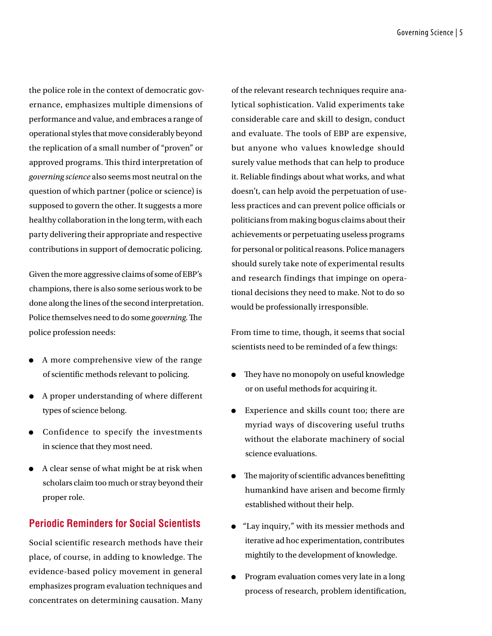the police role in the context of democratic gov- ernance, emphasizes multiple dimensions of performance and value, and embraces a range of operational styles that move considerably beyond the replication of a small number of "proven" or approved programs. This third interpretation of *governing science* also seems most neutral on the question of which partner (police or science) is supposed to govern the other. It suggests a more healthy collaboration in the long term, with each party delivering their appropriate and respective contributions in support of democratic policing.

 Given the more aggressive claims of some of EBP's champions, there is also some serious work to be done along the lines of the second interpretation. Police themselves need to do some *governing*. The police profession needs:

- ● A more comprehensive view of the range of scientific methods relevant to policing.
- ● A proper understanding of where different types of science belong.
- ● Confidence to specify the investments in science that they most need.
- A clear sense of what might be at risk when scholars claim too much or stray beyond their proper role.

## **Periodic Reminders for Social Scientists**

 Social scientific research methods have their place, of course, in adding to knowledge. The evidence-based policy movement in general emphasizes program evaluation techniques and concentrates on determining causation. Many

 of the relevant research techniques require ana- lytical sophistication. Valid experiments take considerable care and skill to design, conduct and evaluate. The tools of EBP are expensive, but anyone who values knowledge should surely value methods that can help to produce it. Reliable findings about what works, and what doesn't, can help avoid the perpetuation of use- politicians from making bogus claims about their achievements or perpetuating useless programs for personal or political reasons. Police managers should surely take note of experimental results and research findings that impinge on opera- tional decisions they need to make. Not to do so would be professionally irresponsible. less practices and can prevent police officials or

 From time to time, though, it seems that social scientists need to be reminded of a few things:

- ● They have no monopoly on useful knowledge or on useful methods for acquiring it.
- ● Experience and skills count too; there are myriad ways of discovering useful truths without the elaborate machinery of social science evaluations.
- ● The majority of scientific advances benefitting humankind have arisen and become firmly established without their help.
- ● "Lay inquiry," with its messier methods and iterative ad hoc experimentation, contributes mightily to the development of knowledge.
- ● Program evaluation comes very late in a long process of research, problem identification,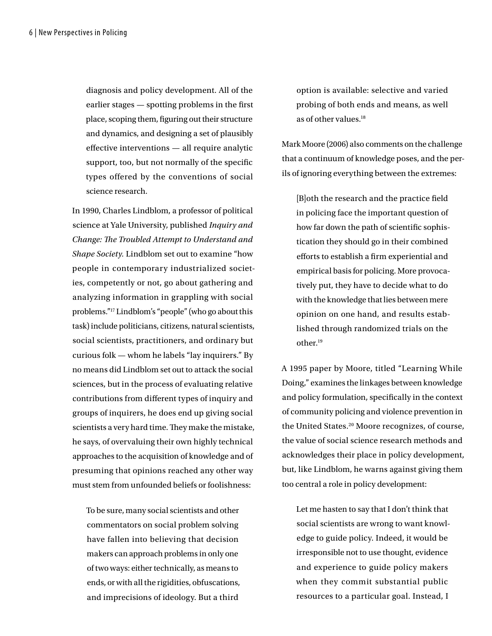diagnosis and policy development. All of the earlier stages — spotting problems in the first place, scoping them, figuring out their structure and dynamics, and designing a set of plausibly effective interventions — all require analytic support, too, but not normally of the specific types offered by the conventions of social science research.

 In 1990, Charles Lindblom, a professor of political science at Yale University, published *Inquiry and Change: The Troubled Attempt to Understand and Shape Society.* Lindblom set out to examine "how people in contemporary industrialized societ- ies, competently or not, go about gathering and analyzing information in grappling with social problems."17 Lindblom's "people" (who go about this task) include politicians, citizens, natural scientists, social scientists, practitioners, and ordinary but curious folk — whom he labels "lay inquirers." By no means did Lindblom set out to attack the social sciences, but in the process of evaluating relative contributions from different types of inquiry and groups of inquirers, he does end up giving social scientists a very hard time. They make the mistake, he says, of overvaluing their own highly technical approaches to the acquisition of knowledge and of presuming that opinions reached any other way must stem from unfounded beliefs or foolishness:

 To be sure, many social scientists and other commentators on social problem solving have fallen into believing that decision makers can approach problems in only one of two ways: either technically, as means to ends, or with all the rigidities, obfuscations, and imprecisions of ideology. But a third

 option is available: selective and varied probing of both ends and means, as well as of other values.18

 Mark Moore (2006) also comments on the challenge that a continuum of knowledge poses, and the per-ils of ignoring everything between the extremes:

 [B]oth the research and the practice field how far down the path of scientific sophis- tication they should go in their combined efforts to establish a firm experiential and empirical basis for policing. More provoca- tively put, they have to decide what to do with the knowledge that lies between mere opinion on one hand, and results estab- lished through randomized trials on the in policing face the important question of other.19

 A 1995 paper by Moore, titled "Learning While Doing," examines the linkages between knowledge and policy formulation, specifically in the context of community policing and violence prevention in the United States.<sup>20</sup> Moore recognizes, of course, the value of social science research methods and acknowledges their place in policy development, but, like Lindblom, he warns against giving them too central a role in policy development:

 Let me hasten to say that I don't think that social scientists are wrong to want knowl- edge to guide policy. Indeed, it would be irresponsible not to use thought, evidence and experience to guide policy makers when they commit substantial public resources to a particular goal. Instead, I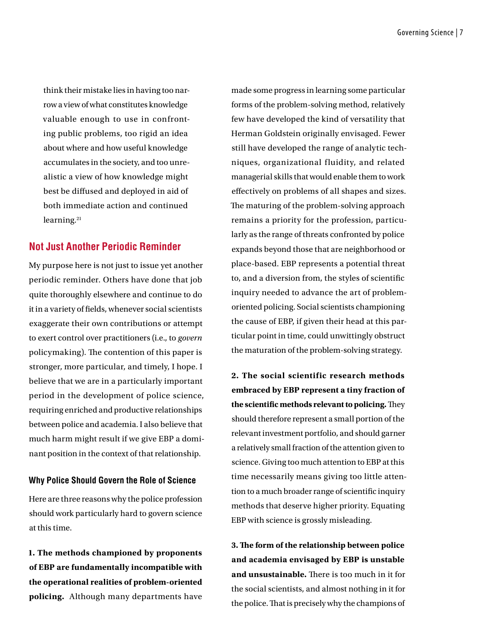think their mistake lies in having too nar- row a view of what constitutes knowledge valuable enough to use in confront- ing public problems, too rigid an idea about where and how useful knowledge accumulates in the society, and too unre- alistic a view of how knowledge might best be diffused and deployed in aid of both immediate action and continued learning.<sup>21</sup>

## **Not Just Another Periodic Reminder**

 My purpose here is not just to issue yet another periodic reminder. Others have done that job quite thoroughly elsewhere and continue to do it in a variety of fields, whenever social scientists exaggerate their own contributions or attempt to exert control over practitioners (i.e., to *govern*  policymaking). The contention of this paper is stronger, more particular, and timely, I hope. I believe that we are in a particularly important period in the development of police science, requiring enriched and productive relationships between police and academia. I also believe that much harm might result if we give EBP a domi-nant position in the context of that relationship.

## **Why Police Should Govern the Role of Science**

 Here are three reasons why the police profession should work particularly hard to govern science at this time.

 **policing.** Although many departments have **1. The methods championed by proponents of EBP are fundamentally incompatible with the operational realities of problem-oriented** 

 made some progress in learning some particular forms of the problem-solving method, relatively few have developed the kind of versatility that Herman Goldstein originally envisaged. Fewer still have developed the range of analytic techniques, organizational fluidity, and related managerial skills that would enable them to work effectively on problems of all shapes and sizes. The maturing of the problem-solving approach remains a priority for the profession, particu- larly as the range of threats confronted by police expands beyond those that are neighborhood or place-based. EBP represents a potential threat to, and a diversion from, the styles of scientific inquiry needed to advance the art of problem- oriented policing. Social scientists championing the cause of EBP, if given their head at this par- ticular point in time, could unwittingly obstruct the maturation of the problem-solving strategy.

 should therefore represent a small portion of the relevant investment portfolio, and should garner a relatively small fraction of the attention given to science. Giving too much attention to EBP at this time necessarily means giving too little atten- tion to a much broader range of scientific inquiry methods that deserve higher priority. Equating EBP with science is grossly misleading. **2. The social scientific research methods embraced by EBP represent a tiny fraction of the scientific methods relevant to policing.** They

 **and unsustainable.** There is too much in it for the social scientists, and almost nothing in it for the police. That is precisely why the champions of **3. The form of the relationship between police and academia envisaged by EBP is unstable**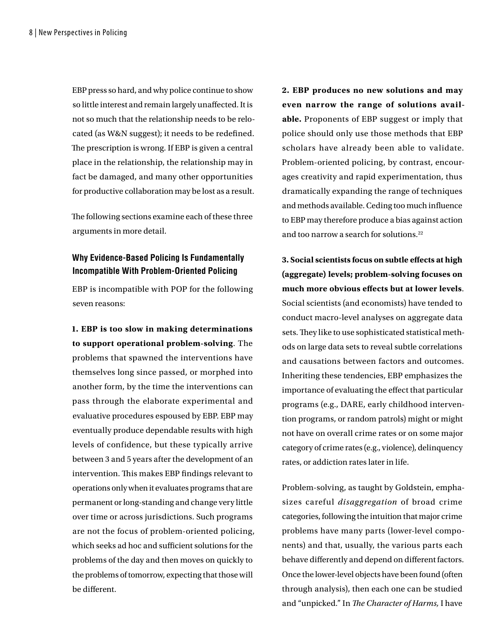EBP press so hard, and why police continue to show so little interest and remain largely unaffected. It is not so much that the relationship needs to be relo- cated (as W&N suggest); it needs to be redefined. The prescription is wrong. If EBP is given a central place in the relationship, the relationship may in fact be damaged, and many other opportunities for productive collaboration may be lost as a result.

 The following sections examine each of these three arguments in more detail.

## **Why Evidence-Based Policing Is Fundamentally Incompatible With Problem-Oriented Policing**

 EBP is incompatible with POP for the following seven reasons:

 problems that spawned the interventions have themselves long since passed, or morphed into another form, by the time the interventions can pass through the elaborate experimental and evaluative procedures espoused by EBP. EBP may eventually produce dependable results with high levels of confidence, but these typically arrive between 3 and 5 years after the development of an operations only when it evaluates programs that are permanent or long-standing and change very little over time or across jurisdictions. Such programs are not the focus of problem-oriented policing, which seeks ad hoc and sufficient solutions for the problems of the day and then moves on quickly to the problems of tomorrow, expecting that those will **1. EBP is too slow in making determinations to support operational problem-solving**. The intervention. This makes EBP findings relevant to be different.

 **able.** Proponents of EBP suggest or imply that police should only use those methods that EBP scholars have already been able to validate. Problem-oriented policing, by contrast, encour- ages creativity and rapid experimentation, thus dramatically expanding the range of techniques and methods available. Ceding too much influence to EBP may therefore produce a bias against action and too narrow a search for solutions.<sup>22</sup> **2. EBP produces no new solutions and may even narrow the range of solutions avail-**

 Social scientists (and economists) have tended to conduct macro-level analyses on aggregate data sets. They like to use sophisticated statistical meth- ods on large data sets to reveal subtle correlations and causations between factors and outcomes. Inheriting these tendencies, EBP emphasizes the importance of evaluating the effect that particular programs (e.g., DARE, early childhood interven- tion programs, or random patrols) might or might not have on overall crime rates or on some major category of crime rates (e.g., violence), delinquency rates, or addiction rates later in life. **3. Social scientists focus on subtle effects at high (aggregate) levels; problem-solving focuses on much more obvious effects but at lower levels**.

 Problem-solving, as taught by Goldstein, empha- sizes careful *disaggregation* of broad crime categories, following the intuition that major crime problems have many parts (lower-level compo- nents) and that, usually, the various parts each behave differently and depend on different factors. Once the lower-level objects have been found (often through analysis), then each one can be studied and "unpicked." In *The Character of Harms,* I have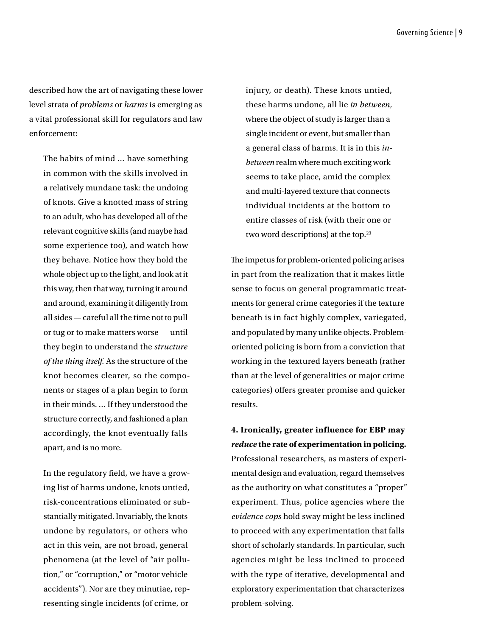described how the art of navigating these lower level strata of *problems* or *harms* is emerging as a vital professional skill for regulators and law enforcement:

 The habits of mind … have something in common with the skills involved in a relatively mundane task: the undoing of knots. Give a knotted mass of string to an adult, who has developed all of the relevant cognitive skills (and maybe had some experience too), and watch how they behave. Notice how they hold the whole object up to the light, and look at it this way, then that way, turning it around and around, examining it diligently from all sides — careful all the time not to pull or tug or to make matters worse — until they begin to understand the *structure of the thing itself.* As the structure of the knot becomes clearer, so the compo- nents or stages of a plan begin to form in their minds. … If they understood the structure correctly, and fashioned a plan accordingly, the knot eventually falls apart, and is no more.

 In the regulatory field, we have a grow- ing list of harms undone, knots untied, risk-concentrations eliminated or sub- stantially mitigated. Invariably, the knots undone by regulators, or others who act in this vein, are not broad, general phenomena (at the level of "air pollu- accidents"). Nor are they minutiae, rep- resenting single incidents (of crime, or tion," or "corruption," or "motor vehicle

 injury, or death). These knots untied, these harms undone, all lie *in between,*  where the object of study is larger than a single incident or event, but smaller than a general class of harms. It is in this *in- between* realm where much exciting work seems to take place, amid the complex and multi-layered texture that connects individual incidents at the bottom to entire classes of risk (with their one or two word descriptions) at the top.<sup>23</sup>

 The impetus for problem-oriented policing arises in part from the realization that it makes little sense to focus on general programmatic treat- ments for general crime categories if the texture beneath is in fact highly complex, variegated, and populated by many unlike objects. Problem- oriented policing is born from a conviction that working in the textured layers beneath (rather than at the level of generalities or major crime categories) offers greater promise and quicker results.

 Professional researchers, as masters of experi- mental design and evaluation, regard themselves as the authority on what constitutes a "proper" experiment. Thus, police agencies where the *evidence cops* hold sway might be less inclined to proceed with any experimentation that falls agencies might be less inclined to proceed with the type of iterative, developmental and **4. Ironically, greater influence for EBP may**  *reduce* **the rate of experimentation in policing.**  short of scholarly standards. In particular, such exploratory experimentation that characterizes problem-solving.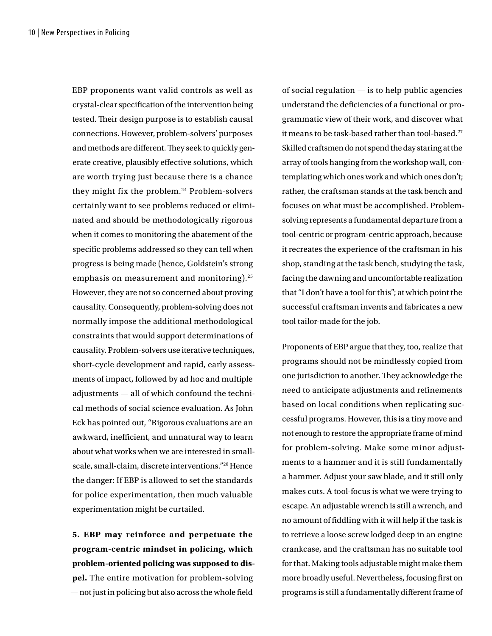EBP proponents want valid controls as well as crystal-clear specification of the intervention being connections. However, problem-solvers' purposes and methods are different. They seek to quickly gen- erate creative, plausibly effective solutions, which are worth trying just because there is a chance they might fix the problem.<sup>24</sup> Problem-solvers certainly want to see problems reduced or elimi- nated and should be methodologically rigorous when it comes to monitoring the abatement of the specific problems addressed so they can tell when emphasis on measurement and monitoring).<sup>25</sup> However, they are not so concerned about proving causality. Consequently, problem-solving does not normally impose the additional methodological causality. Problem-solvers use iterative techniques, short-cycle development and rapid, early assess- adjustments — all of which confound the techni- cal methods of social science evaluation. As John Eck has pointed out, "Rigorous evaluations are an awkward, inefficient, and unnatural way to learn about what works when we are interested in small- scale, small-claim, discrete interventions."26 Hence the danger: If EBP is allowed to set the standards for police experimentation, then much valuable experimentation might be curtailed. tested. Their design purpose is to establish causal progress is being made (hence, Goldstein's strong constraints that would support determinations of ments of impact, followed by ad hoc and multiple

 **pel.** The entire motivation for problem-solving — not just in policing but also across the whole field **5. EBP may reinforce and perpetuate the program-centric mindset in policing, which problem-oriented policing was supposed to dis-**

 of social regulation — is to help public agencies understand the deficiencies of a functional or pro- grammatic view of their work, and discover what it means to be task-based rather than tool-based.<sup>27</sup> Skilled craftsmen do not spend the day staring at the array of tools hanging from the workshop wall, con- templating which ones work and which ones don't; rather, the craftsman stands at the task bench and focuses on what must be accomplished. Problem- solving represents a fundamental departure from a tool-centric or program-centric approach, because shop, standing at the task bench, studying the task, facing the dawning and uncomfortable realization that "I don't have a tool for this"; at which point the successful craftsman invents and fabricates a new tool tailor-made for the job. it recreates the experience of the craftsman in his

 Proponents of EBP argue that they, too, realize that programs should not be mindlessly copied from one jurisdiction to another. They acknowledge the need to anticipate adjustments and refinements based on local conditions when replicating suc- cessful programs. However, this is a tiny move and not enough to restore the appropriate frame of mind for problem-solving. Make some minor adjust- ments to a hammer and it is still fundamentally a hammer. Adjust your saw blade, and it still only makes cuts. A tool-focus is what we were trying to escape. An adjustable wrench is still a wrench, and no amount of fiddling with it will help if the task is to retrieve a loose screw lodged deep in an engine crankcase, and the craftsman has no suitable tool for that. Making tools adjustable might make them more broadly useful. Nevertheless, focusing first on programs is still a fundamentally different frame of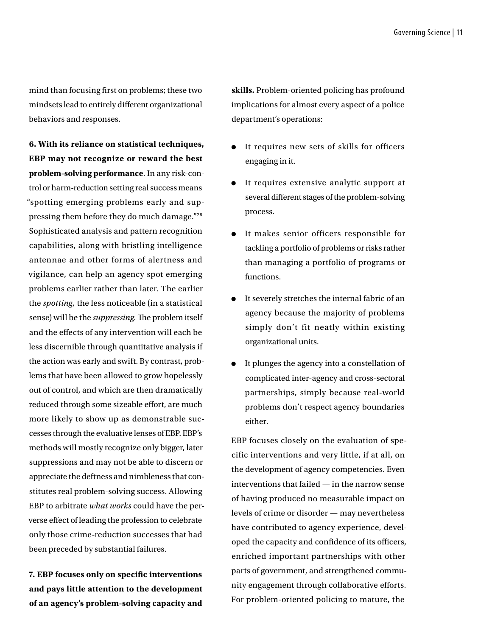mind than focusing first on problems; these two mindsets lead to entirely different organizational behaviors and responses.

 **problem-solving performance**. In any risk-con- trol or harm-reduction setting real success means "spotting emerging problems early and suppressing them before they do much damage."<sup>28</sup> Sophisticated analysis and pattern recognition capabilities, along with bristling intelligence antennae and other forms of alertness and vigilance, can help an agency spot emerging problems earlier rather than later. The earlier the *spotting,* the less noticeable (in a statistical sense) will be the *suppressing.* The problem itself and the effects of any intervention will each be less discernible through quantitative analysis if the action was early and swift. By contrast, prob- out of control, and which are then dramatically reduced through some sizeable effort, are much more likely to show up as demonstrable suc- cesses through the evaluative lenses of EBP. EBP's methods will mostly recognize only bigger, later suppressions and may not be able to discern or appreciate the deftness and nimbleness that con- stitutes real problem-solving success. Allowing EBP to arbitrate *what works* could have the per- verse effect of leading the profession to celebrate only those crime-reduction successes that had been preceded by substantial failures. **6. With its reliance on statistical techniques, EBP may not recognize or reward the best**  lems that have been allowed to grow hopelessly

 **7. EBP focuses only on specific interventions and pays little attention to the development of an agency's problem-solving capacity and** 

 **skills.** Problem-oriented policing has profound implications for almost every aspect of a police department's operations:

- ● It requires new sets of skills for officers engaging in it.
- ● It requires extensive analytic support at several different stages of the problem-solving process.
- ● It makes senior officers responsible for tackling a portfolio of problems or risks rather than managing a portfolio of programs or functions.
- ● It severely stretches the internal fabric of an agency because the majority of problems simply don't fit neatly within existing organizational units.
- ● It plunges the agency into a constellation of complicated inter-agency and cross-sectoral partnerships, simply because real-world problems don't respect agency boundaries either.

 EBP focuses closely on the evaluation of spe- cific interventions and very little, if at all, on the development of agency competencies. Even interventions that failed — in the narrow sense of having produced no measurable impact on levels of crime or disorder — may nevertheless have contributed to agency experience, devel- oped the capacity and confidence of its officers, enriched important partnerships with other parts of government, and strengthened commu- nity engagement through collaborative efforts. For problem-oriented policing to mature, the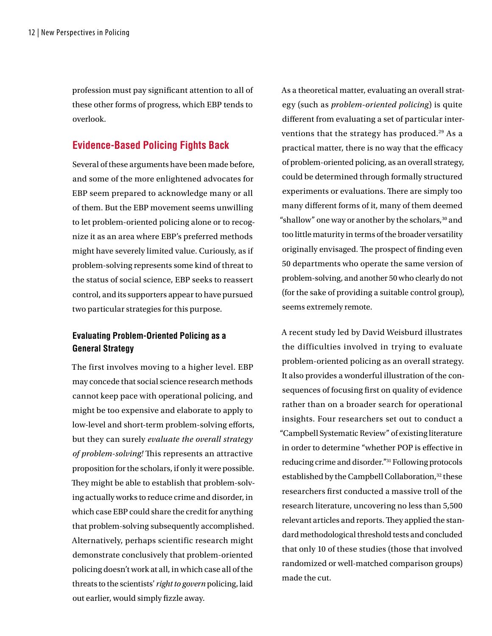profession must pay significant attention to all of these other forms of progress, which EBP tends to overlook.

# **Evidence-Based Policing Fights Back**

 Several of these arguments have been made before, and some of the more enlightened advocates for EBP seem prepared to acknowledge many or all of them. But the EBP movement seems unwilling to let problem-oriented policing alone or to recog- nize it as an area where EBP's preferred methods problem-solving represents some kind of threat to the status of social science, EBP seeks to reassert control, and its supporters appear to have pursued two particular strategies for this purpose. might have severely limited value. Curiously, as if

## **Evaluating Problem-Oriented Policing as a General Strategy**

 The first involves moving to a higher level. EBP may concede that social science research methods cannot keep pace with operational policing, and might be too expensive and elaborate to apply to low-level and short-term problem-solving efforts, but they can surely *evaluate the overall strategy of problem-solving!* This represents an attractive proposition for the scholars, if only it were possible. They might be able to establish that problem-solv- ing actually works to reduce crime and disorder, in which case EBP could share the credit for anything Alternatively, perhaps scientific research might demonstrate conclusively that problem-oriented policing doesn't work at all, in which case all of the threats to the scientists' *right to govern* policing, laid out earlier, would simply fizzle away. that problem-solving subsequently accomplished.

 As a theoretical matter, evaluating an overall strat- egy (such as *problem-oriented policing*) is quite different from evaluating a set of particular interventions that the strategy has produced.<sup>29</sup> As a practical matter, there is no way that the efficacy of problem-oriented policing, as an overall strategy, could be determined through formally structured experiments or evaluations. There are simply too many different forms of it, many of them deemed "shallow" one way or another by the scholars,<sup>30</sup> and too little maturity in terms of the broader versatility originally envisaged. The prospect of finding even 50 departments who operate the same version of problem-solving, and another 50 who clearly do not (for the sake of providing a suitable control group), seems extremely remote.

 A recent study led by David Weisburd illustrates the difficulties involved in trying to evaluate problem-oriented policing as an overall strategy. It also provides a wonderful illustration of the con- sequences of focusing first on quality of evidence rather than on a broader search for operational insights. Four researchers set out to conduct a "Campbell Systematic Review" of existing literature in order to determine "whether POP is effective in reducing crime and disorder."31 Following protocols established by the Campbell Collaboration,<sup>32</sup> these researchers first conducted a massive troll of the relevant articles and reports. They applied the stan- dard methodological threshold tests and concluded that only 10 of these studies (those that involved randomized or well-matched comparison groups) made the cut. research literature, uncovering no less than 5,500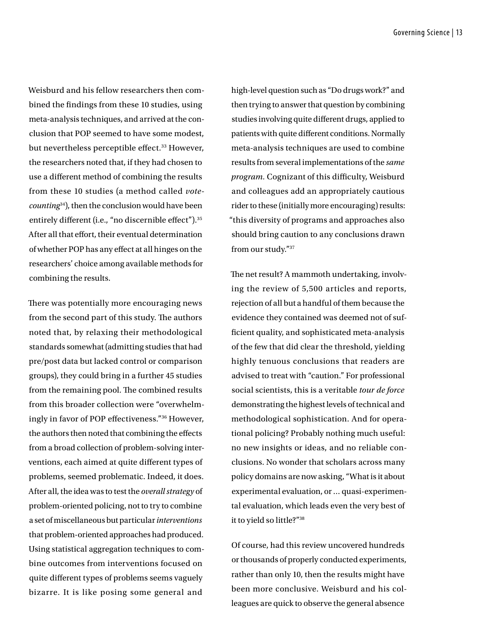Weisburd and his fellow researchers then com- bined the findings from these 10 studies, using meta-analysis techniques, and arrived at the con- clusion that POP seemed to have some modest, but nevertheless perceptible effect.<sup>33</sup> However, the researchers noted that, if they had chosen to use a different method of combining the results from these 10 studies (a method called *vote- counting*34), then the conclusion would have been entirely different (i.e., "no discernible effect").<sup>35</sup> After all that effort, their eventual determination of whether POP has any effect at all hinges on the researchers' choice among available methods for combining the results.

 There was potentially more encouraging news from the second part of this study. The authors noted that, by relaxing their methodological standards somewhat (admitting studies that had pre/post data but lacked control or comparison groups), they could bring in a further 45 studies from the remaining pool. The combined results from this broader collection were "overwhelm- ingly in favor of POP effectiveness."36 However, the authors then noted that combining the effects from a broad collection of problem-solving inter- ventions, each aimed at quite different types of problems, seemed problematic. Indeed, it does. After all, the idea was to test the *overall strategy* of problem-oriented policing, not to try to combine a set of miscellaneous but particular *interventions*  that problem-oriented approaches had produced. Using statistical aggregation techniques to com- bine outcomes from interventions focused on quite different types of problems seems vaguely bizarre. It is like posing some general and

 high-level question such as "Do drugs work?" and then trying to answer that question by combining studies involving quite different drugs, applied to patients with quite different conditions. Normally meta-analysis techniques are used to combine results from several implementations of the *same program.* Cognizant of this difficulty, Weisburd and colleagues add an appropriately cautious rider to these (initially more encouraging) results: "this diversity of programs and approaches also should bring caution to any conclusions drawn from our study."<sup>37</sup>

 The net result? A mammoth undertaking, involv- ing the review of 5,500 articles and reports, rejection of all but a handful of them because the ficient quality, and sophisticated meta-analysis of the few that did clear the threshold, yielding highly tenuous conclusions that readers are advised to treat with "caution." For professional social scientists, this is a veritable *tour de force*  demonstrating the highest levels of technical and methodological sophistication. And for opera- tional policing? Probably nothing much useful: no new insights or ideas, and no reliable con- clusions. No wonder that scholars across many policy domains are now asking, "What is it about experimental evaluation, or … quasi-experimen- tal evaluation, which leads even the very best of it to yield so little?"38 evidence they contained was deemed not of suf-

 Of course, had this review uncovered hundreds or thousands of properly conducted experiments, been more conclusive. Weisburd and his col- leagues are quick to observe the general absence rather than only 10, then the results might have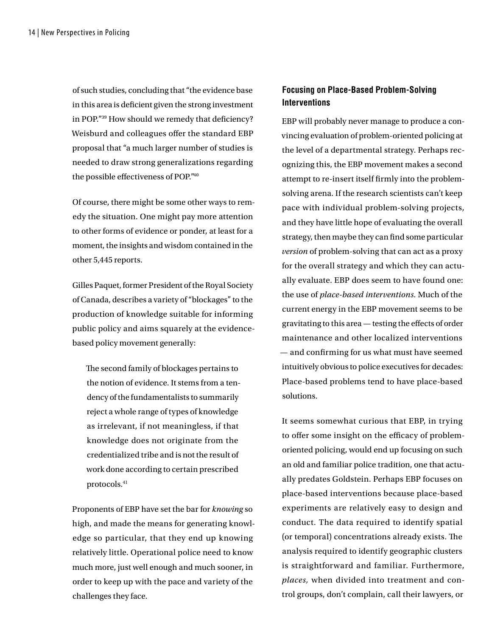of such studies, concluding that "the evidence base in this area is deficient given the strong investment in POP."39 How should we remedy that deficiency? Weisburd and colleagues offer the standard EBP needed to draw strong generalizations regarding the possible effectiveness of POP."40 proposal that "a much larger number of studies is

 Of course, there might be some other ways to rem- edy the situation. One might pay more attention to other forms of evidence or ponder, at least for a moment, the insights and wisdom contained in the other 5,445 reports.

 Gilles Paquet, former President of the Royal Society of Canada, describes a variety of "blockages" to the production of knowledge suitable for informing public policy and aims squarely at the evidence-based policy movement generally:

 The second family of blockages pertains to the notion of evidence. It stems from a ten- dency of the fundamentalists to summarily reject a whole range of types of knowledge as irrelevant, if not meaningless, if that knowledge does not originate from the credentialized tribe and is not the result of work done according to certain prescribed protocols.41

 Proponents of EBP have set the bar for *knowing* so high, and made the means for generating knowl- edge so particular, that they end up knowing relatively little. Operational police need to know much more, just well enough and much sooner, in order to keep up with the pace and variety of the challenges they face.

## **Focusing on Place-Based Problem-Solving Interventions**

 EBP will probably never manage to produce a con- vincing evaluation of problem-oriented policing at the level of a departmental strategy. Perhaps rec- ognizing this, the EBP movement makes a second attempt to re-insert itself firmly into the problem- solving arena. If the research scientists can't keep pace with individual problem-solving projects, and they have little hope of evaluating the overall strategy, then maybe they can find some particular *version* of problem-solving that can act as a proxy for the overall strategy and which they can actu- ally evaluate. EBP does seem to have found one: the use of *place-based interventions.* Much of the current energy in the EBP movement seems to be gravitating to this area — testing the effects of order maintenance and other localized interventions — and confirming for us what must have seemed intuitively obvious to police executives for decades: Place-based problems tend to have place-based solutions.

 It seems somewhat curious that EBP, in trying to offer some insight on the efficacy of problem- an old and familiar police tradition, one that actu- ally predates Goldstein. Perhaps EBP focuses on place-based interventions because place-based experiments are relatively easy to design and conduct. The data required to identify spatial (or temporal) concentrations already exists. The analysis required to identify geographic clusters is straightforward and familiar. Furthermore, *places,* when divided into treatment and con- trol groups, don't complain, call their lawyers, or oriented policing, would end up focusing on such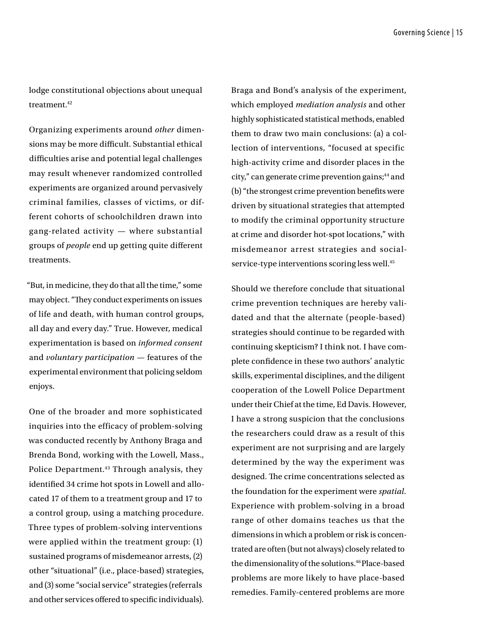lodge constitutional objections about unequal treatment.42

 Organizing experiments around *other* dimen- sions may be more difficult. Substantial ethical difficulties arise and potential legal challenges may result whenever randomized controlled experiments are organized around pervasively criminal families, classes of victims, or dif- ferent cohorts of schoolchildren drawn into gang-related activity — where substantial groups of *people* end up getting quite different treatments.

 "But, in medicine, they do that all the time," some may object. "They conduct experiments on issues of life and death, with human control groups, all day and every day." True. However, medical experimentation is based on *informed consent*  and *voluntary participation* — features of the experimental environment that policing seldom enjoys.

 One of the broader and more sophisticated inquiries into the efficacy of problem-solving was conducted recently by Anthony Braga and Brenda Bond, working with the Lowell, Mass., Police Department.<sup>43</sup> Through analysis, they identified 34 crime hot spots in Lowell and allo- cated 17 of them to a treatment group and 17 to a control group, using a matching procedure. Three types of problem-solving interventions were applied within the treatment group: (1) sustained programs of misdemeanor arrests, (2) other "situational" (i.e., place-based) strategies, and (3) some "social service" strategies (referrals and other services offered to specific individuals).

 Braga and Bond's analysis of the experiment, which employed *mediation analysis* and other highly sophisticated statistical methods, enabled them to draw two main conclusions: (a) a col- lection of interventions, "focused at specific high-activity crime and disorder places in the city," can generate crime prevention gains;<sup>44</sup> and (b) "the strongest crime prevention benefits were driven by situational strategies that attempted to modify the criminal opportunity structure at crime and disorder hot-spot locations," with misdemeanor arrest strategies and socialservice-type interventions scoring less well.<sup>45</sup>

 Should we therefore conclude that situational crime prevention techniques are hereby vali- dated and that the alternate (people-based) strategies should continue to be regarded with continuing skepticism? I think not. I have com- plete confidence in these two authors' analytic skills, experimental disciplines, and the diligent cooperation of the Lowell Police Department under their Chief at the time, Ed Davis. However, I have a strong suspicion that the conclusions the researchers could draw as a result of this experiment are not surprising and are largely determined by the way the experiment was designed. The crime concentrations selected as the foundation for the experiment were *spatial.*  Experience with problem-solving in a broad range of other domains teaches us that the dimensions in which a problem or risk is concen- trated are often (but not always) closely related to the dimensionality of the solutions.46 Place-based problems are more likely to have place-based remedies. Family-centered problems are more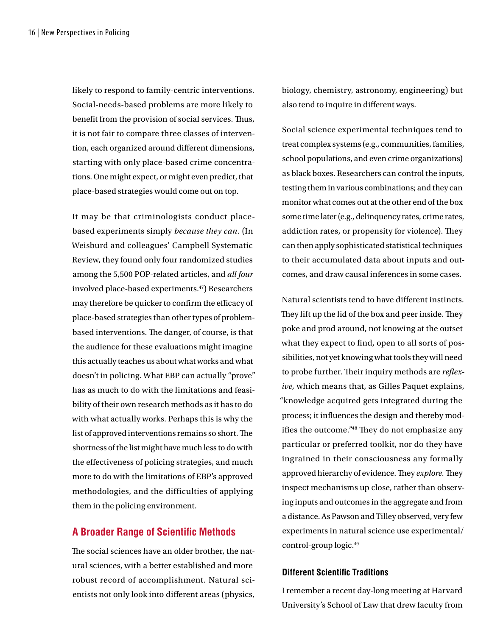likely to respond to family-centric interventions. Social-needs-based problems are more likely to it is not fair to compare three classes of interven- starting with only place-based crime concentra- tions. One might expect, or might even predict, that place-based strategies would come out on top. benefit from the provision of social services. Thus, tion, each organized around different dimensions,

 It may be that criminologists conduct place- based experiments simply *because they can.* (In Weisburd and colleagues' Campbell Systematic Review, they found only four randomized studies among the 5,500 POP-related articles, and *all four*  may therefore be quicker to confirm the efficacy of place-based strategies than other types of problem- the audience for these evaluations might imagine this actually teaches us about what works and what doesn't in policing. What EBP can actually "prove" has as much to do with the limitations and feasi- bility of their own research methods as it has to do with what actually works. Perhaps this is why the list of approved interventions remains so short. The shortness of the list might have much less to do with the effectiveness of policing strategies, and much more to do with the limitations of EBP's approved methodologies, and the difficulties of applying them in the policing environment. involved place-based experiments.47) Researchers based interventions. The danger, of course, is that

## **A Broader Range of Scientific Methods**

 The social sciences have an older brother, the nat- ural sciences, with a better established and more robust record of accomplishment. Natural sci-entists not only look into different areas (physics,  biology, chemistry, astronomy, engineering) but also tend to inquire in different ways.

 Social science experimental techniques tend to treat complex systems (e.g., communities, families, school populations, and even crime organizations) as black boxes. Researchers can control the inputs, testing them in various combinations; and they can monitor what comes out at the other end of the box some time later (e.g., delinquency rates, crime rates, addiction rates, or propensity for violence). They can then apply sophisticated statistical techniques to their accumulated data about inputs and out-comes, and draw causal inferences in some cases.

 Natural scientists tend to have different instincts. They lift up the lid of the box and peer inside. They poke and prod around, not knowing at the outset what they expect to find, open to all sorts of pos- sibilities, not yet knowing what tools they will need *ive,* which means that, as Gilles Paquet explains, "knowledge acquired gets integrated during the process; it influences the design and thereby mod- ifies the outcome."48 They do not emphasize any particular or preferred toolkit, nor do they have ingrained in their consciousness any formally approved hierarchy of evidence. They *explore.* They ing inputs and outcomes in the aggregate and from a distance. As Pawson and Tilley observed, very few experiments in natural science use experimental/ control-group logic.49 to probe further. Their inquiry methods are *reflex*inspect mechanisms up close, rather than observ-

## **Different Scientific Traditions**

 I remember a recent day-long meeting at Harvard University's School of Law that drew faculty from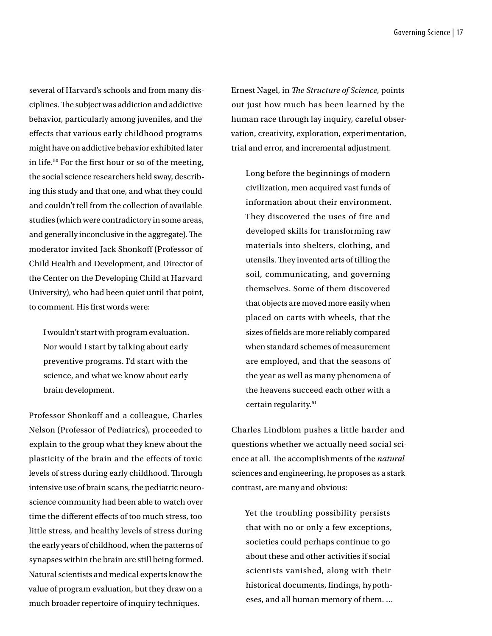several of Harvard's schools and from many dis- ciplines. The subject was addiction and addictive behavior, particularly among juveniles, and the effects that various early childhood programs might have on addictive behavior exhibited later in life.50 For the first hour or so of the meeting, the social science researchers held sway, describ- ing this study and that one, and what they could studies (which were contradictory in some areas, and generally inconclusive in the aggregate). The moderator invited Jack Shonkoff (Professor of Child Health and Development, and Director of the Center on the Developing Child at Harvard University), who had been quiet until that point, to comment. His first words were: and couldn't tell from the collection of available

 I wouldn't start with program evaluation. Nor would I start by talking about early preventive programs. I'd start with the science, and what we know about early brain development.

 Professor Shonkoff and a colleague, Charles Nelson (Professor of Pediatrics), proceeded to explain to the group what they knew about the plasticity of the brain and the effects of toxic levels of stress during early childhood. Through intensive use of brain scans, the pediatric neuro- science community had been able to watch over time the different effects of too much stress, too little stress, and healthy levels of stress during the early years of childhood, when the patterns of synapses within the brain are still being formed. Natural scientists and medical experts know the value of program evaluation, but they draw on a much broader repertoire of inquiry techniques.

 Ernest Nagel, in *The Structure of Science,* points out just how much has been learned by the human race through lay inquiry, careful obser- vation, creativity, exploration, experimentation, trial and error, and incremental adjustment.

 Long before the beginnings of modern civilization, men acquired vast funds of information about their environment. They discovered the uses of fire and developed skills for transforming raw materials into shelters, clothing, and utensils. They invented arts of tilling the soil, communicating, and governing themselves. Some of them discovered that objects are moved more easily when placed on carts with wheels, that the sizes of fields are more reliably compared when standard schemes of measurement are employed, and that the seasons of the year as well as many phenomena of the heavens succeed each other with a certain regularity.51

 Charles Lindblom pushes a little harder and questions whether we actually need social sci- sciences and engineering, he proposes as a stark contrast, are many and obvious: ence at all. The accomplishments of the *natural* 

 Yet the troubling possibility persists that with no or only a few exceptions, societies could perhaps continue to go about these and other activities if social scientists vanished, along with their historical documents, findings, hypotheses, and all human memory of them. …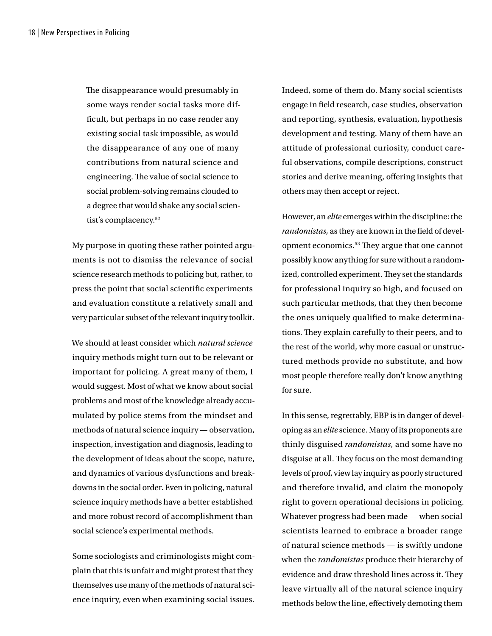The disappearance would presumably in some ways render social tasks more dif- ficult, but perhaps in no case render any existing social task impossible, as would the disappearance of any one of many contributions from natural science and engineering. The value of social science to social problem-solving remains clouded to a degree that would shake any social scientist's complacency.52

 My purpose in quoting these rather pointed argu- ments is not to dismiss the relevance of social science research methods to policing but, rather, to press the point that social scientific experiments and evaluation constitute a relatively small and very particular subset of the relevant inquiry toolkit.

 We should at least consider which *natural science*  inquiry methods might turn out to be relevant or important for policing. A great many of them, I would suggest. Most of what we know about social problems and most of the knowledge already accu- mulated by police stems from the mindset and methods of natural science inquiry — observation, inspection, investigation and diagnosis, leading to the development of ideas about the scope, nature, and dynamics of various dysfunctions and break- downs in the social order. Even in policing, natural science inquiry methods have a better established and more robust record of accomplishment than social science's experimental methods.

 Some sociologists and criminologists might com- plain that this is unfair and might protest that they themselves use many of the methods of natural sci-ence inquiry, even when examining social issues.  Indeed, some of them do. Many social scientists and reporting, synthesis, evaluation, hypothesis development and testing. Many of them have an attitude of professional curiosity, conduct care- ful observations, compile descriptions, construct stories and derive meaning, offering insights that others may then accept or reject. engage in field research, case studies, observation

 However, an *elite* emerges within the discipline: the *randomistas,* as they are known in the field of development economics.<sup>53</sup> They argue that one cannot possibly know anything for sure without a random- ized, controlled experiment. They set the standards for professional inquiry so high, and focused on such particular methods, that they then become the ones uniquely qualified to make determina- tions. They explain carefully to their peers, and to the rest of the world, why more casual or unstruc- tured methods provide no substitute, and how most people therefore really don't know anything for sure.

 In this sense, regrettably, EBP is in danger of devel- oping as an *elite* science. Many of its proponents are thinly disguised *randomistas,* and some have no disguise at all. They focus on the most demanding levels of proof, view lay inquiry as poorly structured and therefore invalid, and claim the monopoly right to govern operational decisions in policing. Whatever progress had been made — when social scientists learned to embrace a broader range of natural science methods — is swiftly undone when the *randomistas* produce their hierarchy of evidence and draw threshold lines across it. They leave virtually all of the natural science inquiry methods below the line, effectively demoting them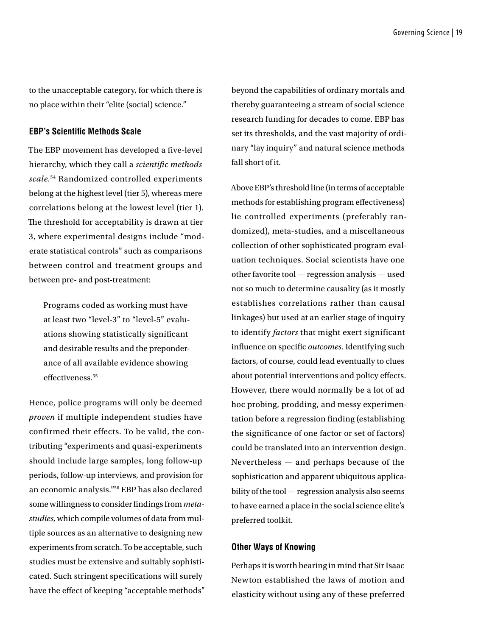to the unacceptable category, for which there is no place within their "elite (social) science."

### **EBP's Scientific Methods Scale**

 The EBP movement has developed a five-level hierarchy, which they call a *scientific methods scale.*54 Randomized controlled experiments belong at the highest level (tier 5), whereas mere correlations belong at the lowest level (tier 1). The threshold for acceptability is drawn at tier 3, where experimental designs include "mod- erate statistical controls" such as comparisons between control and treatment groups and between pre- and post-treatment:

 Programs coded as working must have at least two "level-3" to "level-5" evalu- ations showing statistically significant and desirable results and the preponder- ance of all available evidence showing effectiveness.<sup>55</sup>

 Hence, police programs will only be deemed *proven* if multiple independent studies have confirmed their effects. To be valid, the con- tributing "experiments and quasi-experiments should include large samples, long follow-up periods, follow-up interviews, and provision for an economic analysis."56 EBP has also declared some willingness to consider findings from *meta- studies,* which compile volumes of data from mul- tiple sources as an alternative to designing new experiments from scratch. To be acceptable, such studies must be extensive and suitably sophisti- cated. Such stringent specifications will surely have the effect of keeping "acceptable methods"

 beyond the capabilities of ordinary mortals and thereby guaranteeing a stream of social science research funding for decades to come. EBP has set its thresholds, and the vast majority of ordi- nary "lay inquiry" and natural science methods fall short of it.

 Above EBP's threshold line (in terms of acceptable methods for establishing program effectiveness) domized), meta-studies, and a miscellaneous collection of other sophisticated program eval- uation techniques. Social scientists have one other favorite tool — regression analysis — used not so much to determine causality (as it mostly establishes correlations rather than causal linkages) but used at an earlier stage of inquiry to identify *factors* that might exert significant influence on specific *outcomes.* Identifying such factors, of course, could lead eventually to clues about potential interventions and policy effects. However, there would normally be a lot of ad hoc probing, prodding, and messy experimen- tation before a regression finding (establishing the significance of one factor or set of factors) Nevertheless — and perhaps because of the sophistication and apparent ubiquitous applica- bility of the tool — regression analysis also seems to have earned a place in the social science elite's lie controlled experiments (preferably rancould be translated into an intervention design. preferred toolkit.

#### **Other Ways of Knowing**

 Perhaps it is worth bearing in mind that Sir Isaac Newton established the laws of motion and elasticity without using any of these preferred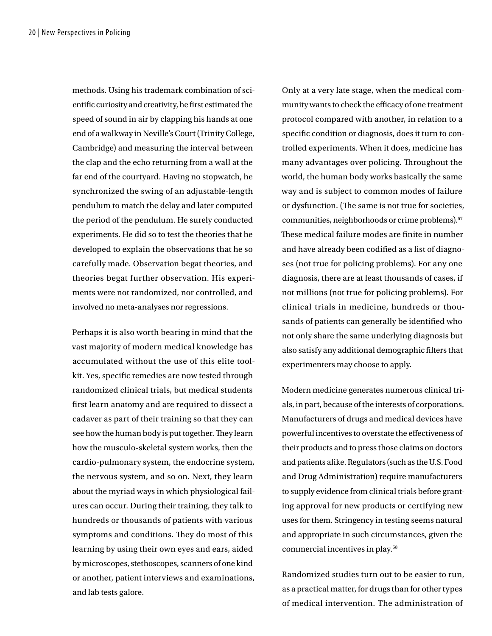methods. Using his trademark combination of sci- entific curiosity and creativity, he first estimated the speed of sound in air by clapping his hands at one end of a walkway in Neville's Court (Trinity College, Cambridge) and measuring the interval between the clap and the echo returning from a wall at the far end of the courtyard. Having no stopwatch, he synchronized the swing of an adjustable-length pendulum to match the delay and later computed the period of the pendulum. He surely conducted experiments. He did so to test the theories that he developed to explain the observations that he so carefully made. Observation begat theories, and theories begat further observation. His experi- ments were not randomized, nor controlled, and involved no meta-analyses nor regressions.

 Perhaps it is also worth bearing in mind that the vast majority of modern medical knowledge has accumulated without the use of this elite tool- kit. Yes, specific remedies are now tested through randomized clinical trials, but medical students first learn anatomy and are required to dissect a cadaver as part of their training so that they can see how the human body is put together. They learn how the musculo-skeletal system works, then the cardio-pulmonary system, the endocrine system, the nervous system, and so on. Next, they learn about the myriad ways in which physiological fail- ures can occur. During their training, they talk to hundreds or thousands of patients with various symptoms and conditions. They do most of this learning by using their own eyes and ears, aided by microscopes, stethoscopes, scanners of one kind or another, patient interviews and examinations, and lab tests galore.

 Only at a very late stage, when the medical com- munity wants to check the efficacy of one treatment protocol compared with another, in relation to a specific condition or diagnosis, does it turn to con- trolled experiments. When it does, medicine has many advantages over policing. Throughout the world, the human body works basically the same way and is subject to common modes of failure or dysfunction. (The same is not true for societies, communities, neighborhoods or crime problems).<sup>57</sup> These medical failure modes are finite in number ses (not true for policing problems). For any one diagnosis, there are at least thousands of cases, if not millions (not true for policing problems). For clinical trials in medicine, hundreds or thou- sands of patients can generally be identified who also satisfy any additional demographic filters that experimenters may choose to apply. and have already been codified as a list of diagnonot only share the same underlying diagnosis but

 Modern medicine generates numerous clinical tri- als, in part, because of the interests of corporations. Manufacturers of drugs and medical devices have powerful incentives to overstate the effectiveness of their products and to press those claims on doctors and patients alike. Regulators (such as the U.S. Food and Drug Administration) require manufacturers to supply evidence from clinical trials before grant- ing approval for new products or certifying new uses for them. Stringency in testing seems natural and appropriate in such circumstances, given the commercial incentives in play.58

 Randomized studies turn out to be easier to run, as a practical matter, for drugs than for other types of medical intervention. The administration of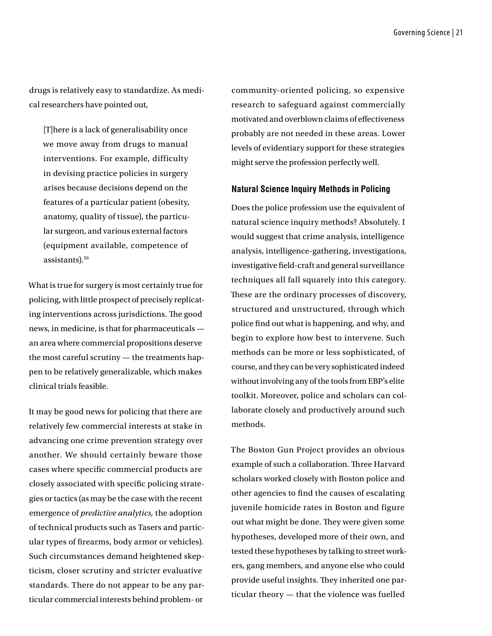drugs is relatively easy to standardize. As medi-cal researchers have pointed out,

 [T]here is a lack of generalisability once we move away from drugs to manual interventions. For example, difficulty in devising practice policies in surgery features of a particular patient (obesity, anatomy, quality of tissue), the particu- lar surgeon, and various external factors (equipment available, competence of arises because decisions depend on the assistants).59

 What is true for surgery is most certainly true for policing, with little prospect of precisely replicat- news, in medicine, is that for pharmaceuticals — an area where commercial propositions deserve the most careful scrutiny — the treatments hap- clinical trials feasible. ing interventions across jurisdictions. The good pen to be relatively generalizable, which makes

 It may be good news for policing that there are relatively few commercial interests at stake in advancing one crime prevention strategy over another. We should certainly beware those cases where specific commercial products are closely associated with specific policing strate- gies or tactics (as may be the case with the recent emergence of *predictive analytics,* the adoption of technical products such as Tasers and partic- ular types of firearms, body armor or vehicles). Such circumstances demand heightened skep- ticism, closer scrutiny and stricter evaluative standards. There do not appear to be any par-ticular commercial interests behind problem- or

 community-oriented policing, so expensive research to safeguard against commercially motivated and overblown claims of effectiveness probably are not needed in these areas. Lower levels of evidentiary support for these strategies might serve the profession perfectly well.

### **Natural Science Inquiry Methods in Policing**

 Does the police profession use the equivalent of natural science inquiry methods? Absolutely. I would suggest that crime analysis, intelligence investigative field-craft and general surveillance techniques all fall squarely into this category. These are the ordinary processes of discovery, structured and unstructured, through which police find out what is happening, and why, and begin to explore how best to intervene. Such methods can be more or less sophisticated, of course, and they can be very sophisticated indeed without involving any of the tools from EBP's elite toolkit. Moreover, police and scholars can col- laborate closely and productively around such analysis, intelligence-gathering, investigations, methods.

 The Boston Gun Project provides an obvious example of such a collaboration. Three Harvard scholars worked closely with Boston police and other agencies to find the causes of escalating juvenile homicide rates in Boston and figure out what might be done. They were given some hypotheses, developed more of their own, and tested these hypotheses by talking to street work- ers, gang members, and anyone else who could provide useful insights. They inherited one par-ticular theory — that the violence was fuelled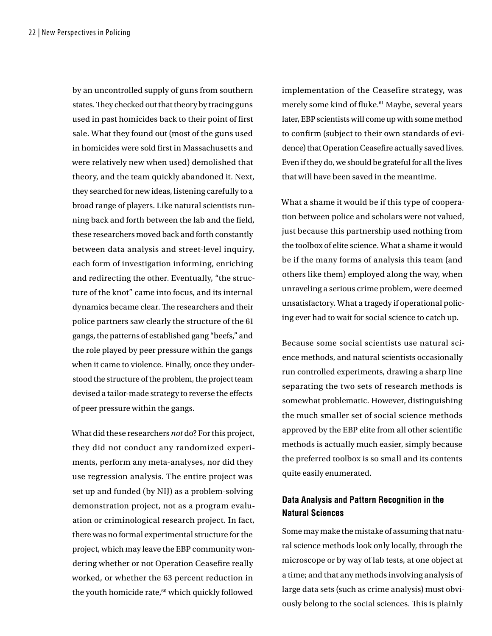by an uncontrolled supply of guns from southern states. They checked out that theory by tracing guns used in past homicides back to their point of first sale. What they found out (most of the guns used in homicides were sold first in Massachusetts and were relatively new when used) demolished that theory, and the team quickly abandoned it. Next, they searched for new ideas, listening carefully to a broad range of players. Like natural scientists run- these researchers moved back and forth constantly between data analysis and street-level inquiry, each form of investigation informing, enriching and redirecting the other. Eventually, "the struc- ture of the knot" came into focus, and its internal dynamics became clear. The researchers and their police partners saw clearly the structure of the 61 gangs, the patterns of established gang "beefs," and the role played by peer pressure within the gangs when it came to violence. Finally, once they under- stood the structure of the problem, the project team devised a tailor-made strategy to reverse the effects of peer pressure within the gangs. ning back and forth between the lab and the field,

 What did these researchers *not* do? For this project, they did not conduct any randomized experi- ments, perform any meta-analyses, nor did they use regression analysis. The entire project was set up and funded (by NIJ) as a problem-solving demonstration project, not as a program evalu- ation or criminological research project. In fact, there was no formal experimental structure for the project, which may leave the EBP community won- dering whether or not Operation Ceasefire really worked, or whether the 63 percent reduction in the youth homicide rate,<sup>60</sup> which quickly followed

 implementation of the Ceasefire strategy, was merely some kind of fluke.<sup>61</sup> Maybe, several years later, EBP scientists will come up with some method to confirm (subject to their own standards of evi- dence) that Operation Ceasefire actually saved lives. Even if they do, we should be grateful for all the lives that will have been saved in the meantime.

 What a shame it would be if this type of coopera- just because this partnership used nothing from the toolbox of elite science. What a shame it would be if the many forms of analysis this team (and others like them) employed along the way, when unraveling a serious crime problem, were deemed unsatisfactory. What a tragedy if operational polic- ing ever had to wait for social science to catch up. tion between police and scholars were not valued,

 Because some social scientists use natural sci- run controlled experiments, drawing a sharp line separating the two sets of research methods is somewhat problematic. However, distinguishing the much smaller set of social science methods approved by the EBP elite from all other scientific methods is actually much easier, simply because the preferred toolbox is so small and its contents quite easily enumerated. ence methods, and natural scientists occasionally

## **Data Analysis and Pattern Recognition in the Natural Sciences**

 Some may make the mistake of assuming that natu- ral science methods look only locally, through the microscope or by way of lab tests, at one object at a time; and that any methods involving analysis of large data sets (such as crime analysis) must obvi-ously belong to the social sciences. This is plainly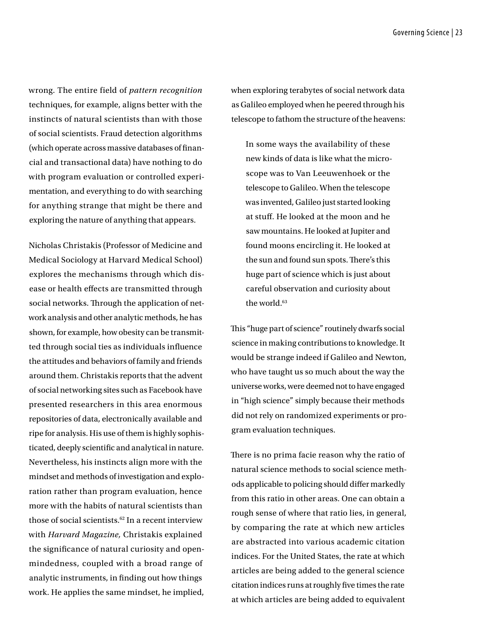wrong. The entire field of *pattern recognition*  techniques, for example, aligns better with the instincts of natural scientists than with those of social scientists. Fraud detection algorithms (which operate across massive databases of finan- cial and transactional data) have nothing to do with program evaluation or controlled experi- mentation, and everything to do with searching for anything strange that might be there and exploring the nature of anything that appears.

 Nicholas Christakis (Professor of Medicine and Medical Sociology at Harvard Medical School) explores the mechanisms through which dis- ease or health effects are transmitted through social networks. Through the application of net- work analysis and other analytic methods, he has shown, for example, how obesity can be transmit- ted through social ties as individuals influence the attitudes and behaviors of family and friends around them. Christakis reports that the advent of social networking sites such as Facebook have presented researchers in this area enormous repositories of data, electronically available and ripe for analysis. His use of them is highly sophis- ticated, deeply scientific and analytical in nature. Nevertheless, his instincts align more with the mindset and methods of investigation and explo- ration rather than program evaluation, hence more with the habits of natural scientists than those of social scientists.62 In a recent interview with *Harvard Magazine,* Christakis explained the significance of natural curiosity and open- mindedness, coupled with a broad range of analytic instruments, in finding out how things work. He applies the same mindset, he implied,  when exploring terabytes of social network data as Galileo employed when he peered through his telescope to fathom the structure of the heavens:

 In some ways the availability of these new kinds of data is like what the micro- scope was to Van Leeuwenhoek or the telescope to Galileo. When the telescope was invented, Galileo just started looking at stuff. He looked at the moon and he saw mountains. He looked at Jupiter and found moons encircling it. He looked at the sun and found sun spots. There's this huge part of science which is just about careful observation and curiosity about the world.<sup>63</sup>

 This "huge part of science" routinely dwarfs social science in making contributions to knowledge. It would be strange indeed if Galileo and Newton, who have taught us so much about the way the universe works, were deemed not to have engaged in "high science" simply because their methods did not rely on randomized experiments or pro-gram evaluation techniques.

 There is no prima facie reason why the ratio of natural science methods to social science meth- ods applicable to policing should differ markedly from this ratio in other areas. One can obtain a rough sense of where that ratio lies, in general, by comparing the rate at which new articles are abstracted into various academic citation indices. For the United States, the rate at which articles are being added to the general science citation indices runs at roughly five times the rate at which articles are being added to equivalent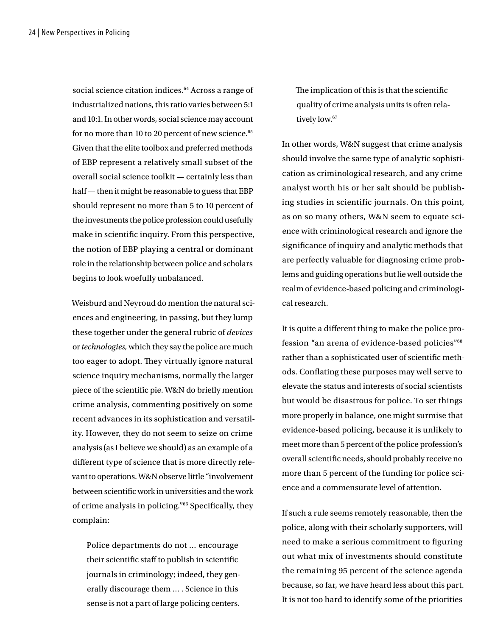social science citation indices.<sup>64</sup> Across a range of industrialized nations, this ratio varies between 5:1 and 10:1. In other words, social science may account Given that the elite toolbox and preferred methods of EBP represent a relatively small subset of the half — then it might be reasonable to guess that EBP should represent no more than 5 to 10 percent of the investments the police profession could usefully make in scientific inquiry. From this perspective, the notion of EBP playing a central or dominant role in the relationship between police and scholars begins to look woefully unbalanced. for no more than 10 to 20 percent of new science.<sup>65</sup> overall social science toolkit — certainly less than

 Weisburd and Neyroud do mention the natural sci- these together under the general rubric of *devices*  or *technologies,* which they say the police are much too eager to adopt. They virtually ignore natural science inquiry mechanisms, normally the larger piece of the scientific pie. W&N do briefly mention crime analysis, commenting positively on some recent advances in its sophistication and versatil- ity. However, they do not seem to seize on crime analysis (as I believe we should) as an example of a different type of science that is more directly rele- vant to operations. W&N observe little "involvement between scientific work in universities and the work of crime analysis in policing."66 Specifically, they ences and engineering, in passing, but they lump complain:

 Police departments do not … encourage their scientific staff to publish in scientific journals in criminology; indeed, they gen- erally discourage them … . Science in this sense is not a part of large policing centers.

 The implication of this is that the scientific quality of crime analysis units is often relatively low.67

 In other words, W&N suggest that crime analysis should involve the same type of analytic sophisti- cation as criminological research, and any crime analyst worth his or her salt should be publish- ing studies in scientific journals. On this point, as on so many others, W&N seem to equate sci- significance of inquiry and analytic methods that are perfectly valuable for diagnosing crime prob- lems and guiding operations but lie well outside the realm of evidence-based policing and criminologience with criminological research and ignore the cal research.

 It is quite a different thing to make the police pro- fession "an arena of evidence-based policies"68 rather than a sophisticated user of scientific meth- ods. Conflating these purposes may well serve to elevate the status and interests of social scientists but would be disastrous for police. To set things more properly in balance, one might surmise that evidence-based policing, because it is unlikely to meet more than 5 percent of the police profession's overall scientific needs, should probably receive no more than 5 percent of the funding for police sci-ence and a commensurate level of attention.

 If such a rule seems remotely reasonable, then the police, along with their scholarly supporters, will need to make a serious commitment to figuring out what mix of investments should constitute the remaining 95 percent of the science agenda because, so far, we have heard less about this part. It is not too hard to identify some of the priorities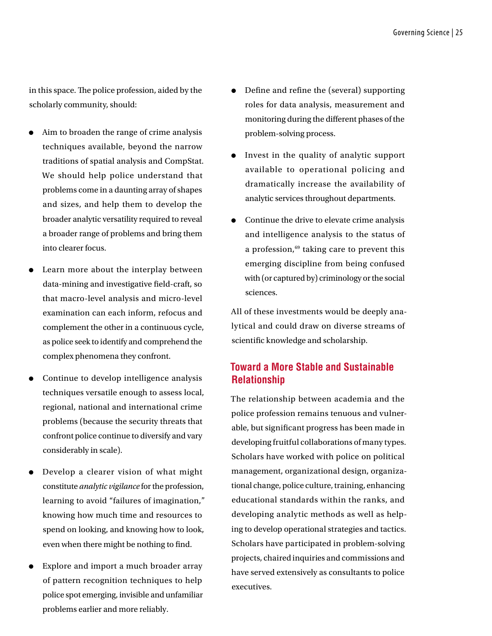in this space. The police profession, aided by the scholarly community, should:

- ● Aim to broaden the range of crime analysis techniques available, beyond the narrow traditions of spatial analysis and CompStat. We should help police understand that problems come in a daunting array of shapes and sizes, and help them to develop the broader analytic versatility required to reveal a broader range of problems and bring them into clearer focus.
- ● Learn more about the interplay between data-mining and investigative field-craft, so that macro-level analysis and micro-level examination can each inform, refocus and as police seek to identify and comprehend the complex phenomena they confront. complement the other in a continuous cycle,
- ● Continue to develop intelligence analysis techniques versatile enough to assess local, regional, national and international crime problems (because the security threats that confront police continue to diversify and vary considerably in scale).
- ● Develop a clearer vision of what might constitute *analytic vigilance* for the profession, learning to avoid "failures of imagination," knowing how much time and resources to spend on looking, and knowing how to look, even when there might be nothing to find.
- ● Explore and import a much broader array of pattern recognition techniques to help police spot emerging, invisible and unfamiliar problems earlier and more reliably.
- ● Define and refine the (several) supporting roles for data analysis, measurement and monitoring during the different phases of the problem-solving process.
- ● Invest in the quality of analytic support available to operational policing and dramatically increase the availability of analytic services throughout departments.
- ● Continue the drive to elevate crime analysis and intelligence analysis to the status of a profession,<sup>69</sup> taking care to prevent this emerging discipline from being confused with (or captured by) criminology or the social sciences.

 All of these investments would be deeply ana- lytical and could draw on diverse streams of scientific knowledge and scholarship.

# **Toward a More Stable and Sustainable Relationship**

 The relationship between academia and the police profession remains tenuous and vulner- able, but significant progress has been made in developing fruitful collaborations of many types. Scholars have worked with police on political management, organizational design, organiza- tional change, police culture, training, enhancing educational standards within the ranks, and developing analytic methods as well as help- Scholars have participated in problem-solving projects, chaired inquiries and commissions and have served extensively as consultants to police ing to develop operational strategies and tactics. executives.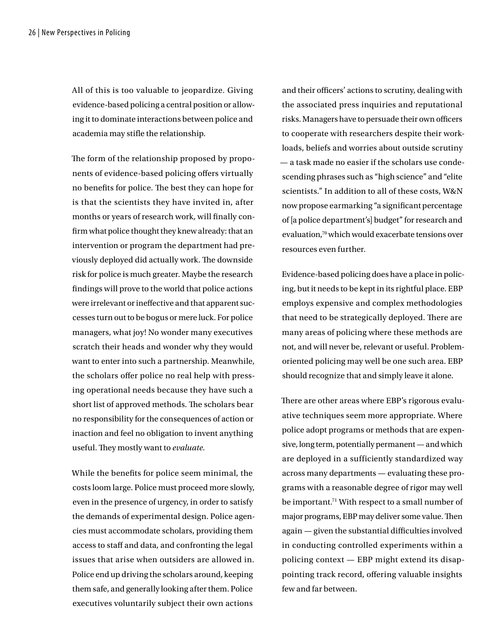All of this is too valuable to jeopardize. Giving evidence-based policing a central position or allow- ing it to dominate interactions between police and academia may stifle the relationship.

 The form of the relationship proposed by propo- nents of evidence-based policing offers virtually no benefits for police. The best they can hope for is that the scientists they have invited in, after firm what police thought they knew already: that an intervention or program the department had pre- viously deployed did actually work. The downside risk for police is much greater. Maybe the research findings will prove to the world that police actions were irrelevant or ineffective and that apparent suc- cesses turn out to be bogus or mere luck. For police managers, what joy! No wonder many executives scratch their heads and wonder why they would the scholars offer police no real help with press- ing operational needs because they have such a short list of approved methods. The scholars bear no responsibility for the consequences of action or inaction and feel no obligation to invent anything useful. They mostly want to *evaluate.*  months or years of research work, will finally conwant to enter into such a partnership. Meanwhile,

 While the benefits for police seem minimal, the costs loom large. Police must proceed more slowly, even in the presence of urgency, in order to satisfy cies must accommodate scholars, providing them access to staff and data, and confronting the legal issues that arise when outsiders are allowed in. Police end up driving the scholars around, keeping them safe, and generally looking after them. Police executives voluntarily subject their own actions the demands of experimental design. Police agen-

 and their officers' actions to scrutiny, dealing with the associated press inquiries and reputational risks. Managers have to persuade their own officers to cooperate with researchers despite their work- loads, beliefs and worries about outside scrutiny — a task made no easier if the scholars use conde- scending phrases such as "high science" and "elite scientists." In addition to all of these costs, W&N now propose earmarking "a significant percentage of [a police department's] budget" for research and evaluation,70 which would exacerbate tensions over resources even further.

 Evidence-based policing does have a place in polic- ing, but it needs to be kept in its rightful place. EBP employs expensive and complex methodologies that need to be strategically deployed. There are many areas of policing where these methods are not, and will never be, relevant or useful. Problem- oriented policing may well be one such area. EBP should recognize that and simply leave it alone.

 There are other areas where EBP's rigorous evalu- ative techniques seem more appropriate. Where police adopt programs or methods that are expen- sive, long term, potentially permanent — and which are deployed in a sufficiently standardized way grams with a reasonable degree of rigor may well major programs, EBP may deliver some value. Then again — given the substantial difficulties involved in conducting controlled experiments within a policing context — EBP might extend its disap- pointing track record, offering valuable insights few and far between. across many departments — evaluating these probe important.<sup>71</sup> With respect to a small number of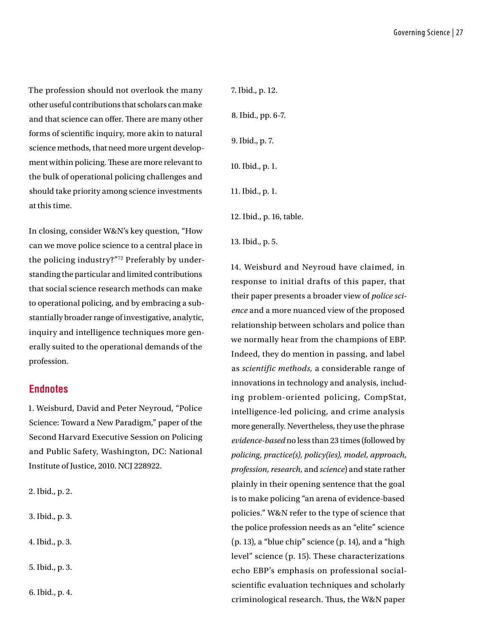The profession should not overlook the many other useful contributions that scholars can make and that science can offer. There are many other science methods, that need more urgent develop- ment within policing. These are more relevant to the bulk of operational policing challenges and should take priority among science investments at this time. forms of scientific inquiry, more akin to natural

 In closing, consider W&N's key question, "How can we move police science to a central place in the policing industry?"72 Preferably by under- standing the particular and limited contributions that social science research methods can make to operational policing, and by embracing a sub- stantially broader range of investigative, analytic, inquiry and intelligence techniques more gen- erally suited to the operational demands of the profession.

## **Endnotes**

 1. Weisburd, David and Peter Neyroud, "Police Science: Toward a New Paradigm," paper of the Second Harvard Executive Session on Policing and Public Safety, Washington, DC: National Institute of Justice, 2010. NCJ 228922.

2. Ibid., p. 2.

- 3. Ibid., p. 3.
- 4. Ibid., p. 3.
- 5. Ibid., p. 3.

6. Ibid., p. 4.

 7. Ibid., p. 12. 8. Ibid., pp. 6-7. 9. Ibid., p. 7. 10. Ibid., p. 1. 11. Ibid., p. 1. 12. Ibid., p. 16, table.

13. Ibid., p. 5.

 14. Weisburd and Neyroud have claimed, in response to initial drafts of this paper, that their paper presents a broader view of *police sci- ence* and a more nuanced view of the proposed relationship between scholars and police than we normally hear from the champions of EBP. Indeed, they do mention in passing, and label as *scientific methods,* a considerable range of innovations in technology and analysis, includ- ing problem-oriented policing, CompStat, intelligence-led policing, and crime analysis more generally. Nevertheless, they use the phrase *evidence-based* no less than 23 times (followed by  *policing, practice(s), policy(ies), model, approach, profession, research,* and *science*) and state rather plainly in their opening sentence that the goal is to make policing "an arena of evidence-based policies." W&N refer to the type of science that the police profession needs as an "elite" science level" science (p. 15). These characterizations echo EBP's emphasis on professional social- scientific evaluation techniques and scholarly criminological research. Thus, the W&N paper (p. 13), a "blue chip" science (p. 14), and a "high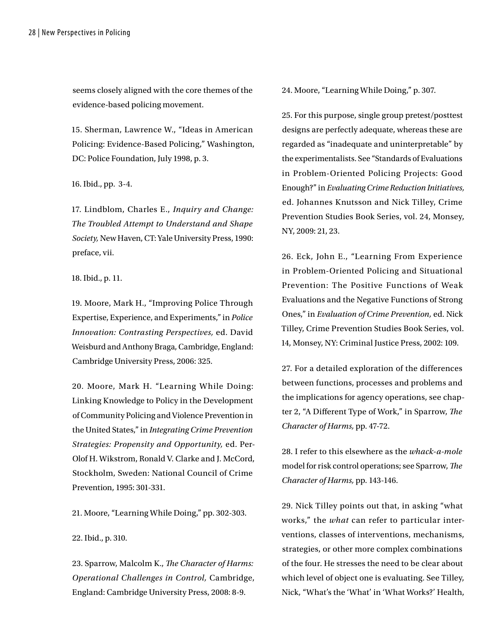seems closely aligned with the core themes of the evidence-based policing movement.

 15. Sherman, Lawrence W., "Ideas in American Policing: Evidence-Based Policing," Washington, DC: Police Foundation, July 1998, p. 3.

#### 16. Ibid., pp. 3-4.

 17. Lindblom, Charles E., *Inquiry and Change: The Troubled Attempt to Understand and Shape Society,* New Haven, CT: Yale University Press, 1990: preface, vii.

#### 18. Ibid., p. 11.

 19. Moore, Mark H., "Improving Police Through Expertise, Experience, and Experiments," in *Police Innovation: Contrasting Perspectives,* ed. David Weisburd and Anthony Braga, Cambridge, England: Cambridge University Press, 2006: 325.

 20. Moore, Mark H. "Learning While Doing: Linking Knowledge to Policy in the Development of Community Policing and Violence Prevention in the United States," in *Integrating Crime Prevention Strategies: Propensity and Opportunity,* ed. Per- Olof H. Wikstrom, Ronald V. Clarke and J. McCord, Stockholm, Sweden: National Council of Crime Prevention, 1995: 301-331.

21. Moore, "Learning While Doing," pp. 302-303.

#### 22. Ibid., p. 310.

 23. Sparrow, Malcolm K., *The Character of Harms: Operational Challenges in Control,* Cambridge, England: Cambridge University Press, 2008: 8-9.

24. Moore, "Learning While Doing," p. 307.

 25. For this purpose, single group pretest/posttest designs are perfectly adequate, whereas these are regarded as "inadequate and uninterpretable" by the experimentalists. See "Standards of Evaluations in Problem-Oriented Policing Projects: Good Enough?" in *Evaluating Crime Reduction Initiatives,*  ed. Johannes Knutsson and Nick Tilley, Crime Prevention Studies Book Series, vol. 24, Monsey, NY, 2009: 21, 23.

 26. Eck, John E., "Learning From Experience in Problem-Oriented Policing and Situational Prevention: The Positive Functions of Weak Ones," in *Evaluation of Crime Prevention,* ed. Nick Tilley, Crime Prevention Studies Book Series, vol. 14, Monsey, NY: Criminal Justice Press, 2002: 109. Evaluations and the Negative Functions of Strong

 27. For a detailed exploration of the differences between functions, processes and problems and the implications for agency operations, see chap- ter 2, "A Different Type of Work," in Sparrow, *The Character of Harms,* pp. 47-72.

 28. I refer to this elsewhere as the *whack-a-mole*  model for risk control operations; see Sparrow, *The Character of Harms,* pp. 143-146.

 29. Nick Tilley points out that, in asking "what works," the *what* can refer to particular inter- ventions, classes of interventions, mechanisms, strategies, or other more complex combinations of the four. He stresses the need to be clear about which level of object one is evaluating. See Tilley, Nick, "What's the 'What' in 'What Works?' Health,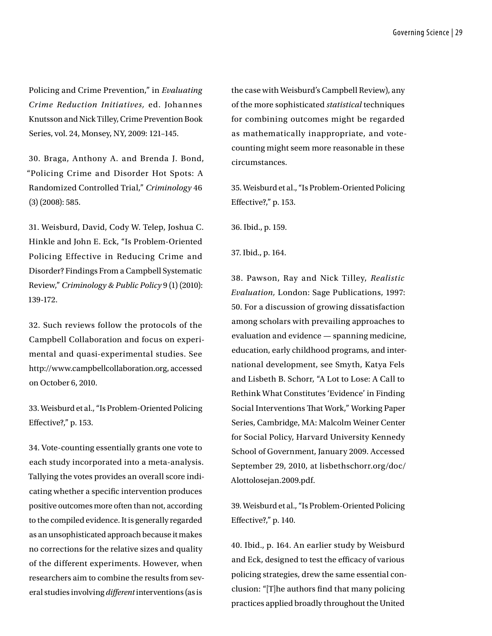Policing and Crime Prevention," in *Evaluating Crime Reduction Initiatives,* ed. Johannes Knutsson and Nick Tilley, Crime Prevention Book Series, vol. 24, Monsey, NY, 2009: 121–145.

 30. Braga, Anthony A. and Brenda J. Bond, "Policing Crime and Disorder Hot Spots: A Randomized Controlled Trial," *Criminology* 46 (3) (2008): 585.

 31. Weisburd, David, Cody W. Telep, Joshua C. Hinkle and John E. Eck, "Is Problem-Oriented Policing Effective in Reducing Crime and Disorder? Findings From a Campbell Systematic  Review," *Criminology & Public Policy* 9 (1) (2010): 139-172.

 32. Such reviews follow the protocols of the Campbell Collaboration and focus on experi- mental and quasi-experimental studies. See on October 6, 2010. http://www.campbellcollaboration.org, accessed

 33. Weisburd et al., "Is Problem-Oriented Policing Effective?," p. 153.

 each study incorporated into a meta-analysis. Tallying the votes provides an overall score indi- cating whether a specific intervention produces positive outcomes more often than not, according to the compiled evidence. It is generally regarded as an unsophisticated approach because it makes no corrections for the relative sizes and quality of the different experiments. However, when researchers aim to combine the results from sev- eral studies involving *different* interventions (as is 34. Vote-counting essentially grants one vote to

 the case with Weisburd's Campbell Review), any of the more sophisticated *statistical* techniques for combining outcomes might be regarded as mathematically inappropriate, and vote- counting might seem more reasonable in these circumstances.

 35. Weisburd et al., "Is Problem-Oriented Policing Effective?," p. 153.

36. Ibid., p. 159.

37. Ibid., p. 164.

 38. Pawson, Ray and Nick Tilley, *Realistic Evaluation,* London: Sage Publications, 1997: 50. For a discussion of growing dissatisfaction among scholars with prevailing approaches to education, early childhood programs, and inter- national development, see Smyth, Katya Fels and Lisbeth B. Schorr, "A Lot to Lose: A Call to Rethink What Constitutes 'Evidence' in Finding Social Interventions That Work," Working Paper Series, Cambridge, MA: Malcolm Weiner Center for Social Policy, Harvard University Kennedy School of Government, January 2009. Accessed September 29, 2010, at lisbethschorr.org/doc/ evaluation and evidence — spanning medicine, Alottolosejan.2009.pdf.

 39. Weisburd et al., "Is Problem-Oriented Policing Effective?," p. 140.

 40. Ibid., p. 164. An earlier study by Weisburd and Eck, designed to test the efficacy of various policing strategies, drew the same essential con- clusion: "[T]he authors find that many policing practices applied broadly throughout the United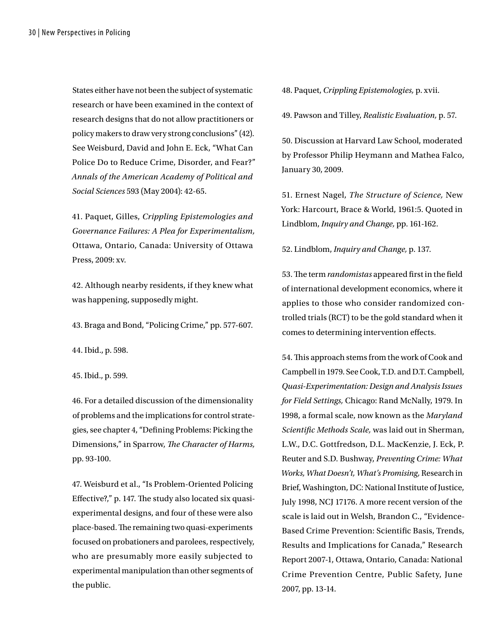States either have not been the subject of systematic research or have been examined in the context of policy makers to draw very strong conclusions" (42). See Weisburd, David and John E. Eck, "What Can Police Do to Reduce Crime, Disorder, and Fear?"  *Annals of the American Academy of Political and Social Sciences* 593 (May 2004): 42-65. research designs that do not allow practitioners or

 41. Paquet, Gilles, *Crippling Epistemologies and Governance Failures: A Plea for Experimentalism,*  Ottawa, Ontario, Canada: University of Ottawa Press, 2009: xv.

 42. Although nearby residents, if they knew what was happening, supposedly might.

43. Braga and Bond, "Policing Crime," pp. 577-607.

44. Ibid., p. 598.

45. Ibid., p. 599.

 46. For a detailed discussion of the dimensionality of problems and the implications for control strate- gies, see chapter 4, "Defining Problems: Picking the Dimensions," in Sparrow, *The Character of Harms,*  pp. 93-100.

 47. Weisburd et al., "Is Problem-Oriented Policing Effective?," p. 147. The study also located six quasi- experimental designs, and four of these were also place-based. The remaining two quasi-experiments focused on probationers and parolees, respectively, who are presumably more easily subjected to experimental manipulation than other segments of the public.

48. Paquet, *Crippling Epistemologies,* p. xvii.

49. Pawson and Tilley, *Realistic Evaluation,* p. 57.

 50. Discussion at Harvard Law School, moderated by Professor Philip Heymann and Mathea Falco, January 30, 2009.

 51. Ernest Nagel, *The Structure of Science,* New York: Harcourt, Brace & World, 1961:5. Quoted in  Lindblom, *Inquiry and Change,* pp. 161-162.

52. Lindblom, *Inquiry and Change,* p. 137.

 53. The term *randomistas* appeared first in the field of international development economics, where it applies to those who consider randomized con- trolled trials (RCT) to be the gold standard when it comes to determining intervention effects.

 54. This approach stems from the work of Cook and Campbell in 1979. See Cook, T.D. and D.T. Campbell,  *Quasi-Experimentation: Design and Analysis Issues for Field Settings,* Chicago: Rand McNally, 1979. In 1998, a formal scale, now known as the *Maryland Scientific Methods Scale,* was laid out in Sherman, L.W., D.C. Gottfredson, D.L. MacKenzie, J. Eck, P. Reuter and S.D. Bushway, *Preventing Crime: What Works, What Doesn't, What's Promising,* Research in Brief, Washington, DC: National Institute of Justice, July 1998, NCJ 17176. A more recent version of the scale is laid out in Welsh, Brandon C., "Evidence- Based Crime Prevention: Scientific Basis, Trends, Results and Implications for Canada," Research Report 2007-1, Ottawa, Ontario, Canada: National Crime Prevention Centre, Public Safety, June 2007, pp. 13-14.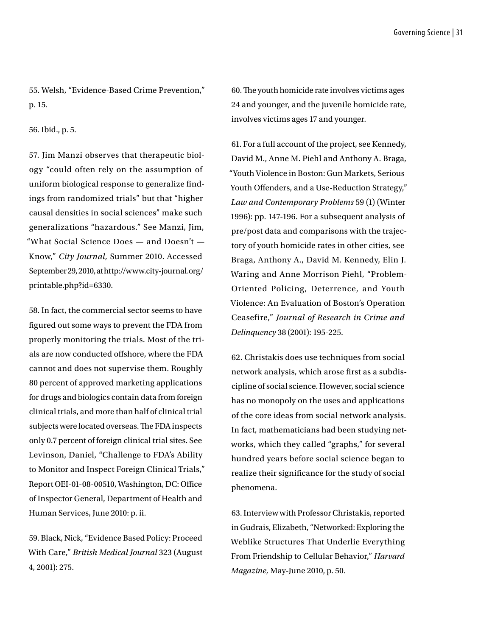55. Welsh, "Evidence-Based Crime Prevention," p. 15.

56. Ibid., p. 5.

 57. Jim Manzi observes that therapeutic biol- ogy "could often rely on the assumption of uniform biological response to generalize find- ings from randomized trials" but that "higher causal densities in social sciences" make such generalizations "hazardous." See Manzi, Jim, "What Social Science Does — and Doesn't — Know," *City Journal,* Summer 2010. Accessed September29,2010,athttp://www.city-journal.org/ printable.php?id=6330.

 58. In fact, the commercial sector seems to have figured out some ways to prevent the FDA from properly monitoring the trials. Most of the tri- als are now conducted offshore, where the FDA cannot and does not supervise them. Roughly 80 percent of approved marketing applications for drugs and biologics contain data from foreign clinical trials, and more than half of clinical trial subjects were located overseas. The FDA inspects only 0.7 percent of foreign clinical trial sites. See Levinson, Daniel, "Challenge to FDA's Ability to Monitor and Inspect Foreign Clinical Trials," Report OEI-01-08-00510, Washington, DC: Office of Inspector General, Department of Health and Human Services, June 2010: p. ii.

 59. Black, Nick, "Evidence Based Policy: Proceed With Care," *British Medical Journal* 323 (August 4, 2001): 275.

 60. The youth homicide rate involves victims ages 24 and younger, and the juvenile homicide rate, involves victims ages 17 and younger.

 61. For a full account of the project, see Kennedy, David M., Anne M. Piehl and Anthony A. Braga, "Youth Violence in Boston: Gun Markets, Serious  *Law and Contemporary Problems* 59 (1) (Winter 1996): pp. 147-196. For a subsequent analysis of pre/post data and comparisons with the trajec- tory of youth homicide rates in other cities, see Braga, Anthony A., David M. Kennedy, Elin J. Waring and Anne Morrison Piehl, "Problem- Oriented Policing, Deterrence, and Youth Violence: An Evaluation of Boston's Operation  Ceasefire," *Journal of Research in Crime and Delinquency* 38 (2001): 195-225. Youth Offenders, and a Use-Reduction Strategy,"

 62. Christakis does use techniques from social network analysis, which arose first as a subdis- cipline of social science. However, social science has no monopoly on the uses and applications of the core ideas from social network analysis. In fact, mathematicians had been studying net- works, which they called "graphs," for several hundred years before social science began to realize their significance for the study of social phenomena.

 63. Interview with Professor Christakis, reported in Gudrais, Elizabeth, "Networked: Exploring the Weblike Structures That Underlie Everything From Friendship to Cellular Behavior," *Harvard Magazine,* May-June 2010, p. 50.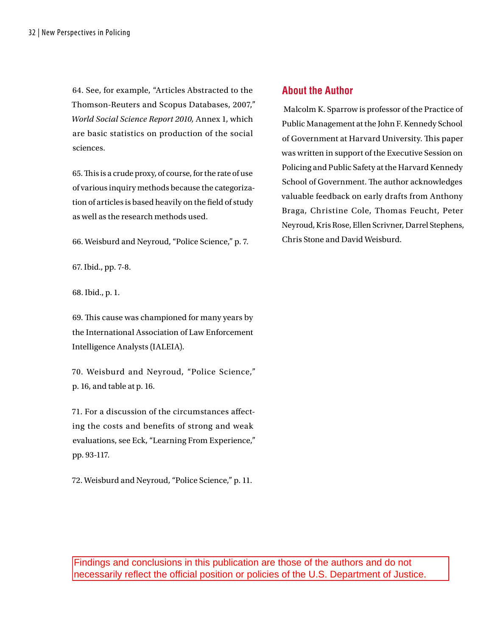64. See, for example, "Articles Abstracted to the Thomson-Reuters and Scopus Databases, 2007,"  *World Social Science Report 2010,* Annex 1, which are basic statistics on production of the social sciences.

 65. This is a crude proxy, of course, for the rate of use of various inquiry methods because the categoriza- tion of articles is based heavily on the field of study as well as the research methods used.

66. Weisburd and Neyroud, "Police Science," p. 7.

67. Ibid., pp. 7-8.

68. Ibid., p. 1.

 69. This cause was championed for many years by the International Association of Law Enforcement Intelligence Analysts (IALEIA).

 70. Weisburd and Neyroud, "Police Science," p. 16, and table at p. 16.

 71. For a discussion of the circumstances affect- ing the costs and benefits of strong and weak evaluations, see Eck, "Learning From Experience," pp. 93-117.

72. Weisburd and Neyroud, "Police Science," p. 11.

# **About the Author**

 Malcolm K. Sparrow is professor of the Practice of Public Management at the John F. Kennedy School of Government at Harvard University. This paper was written in support of the Executive Session on Policing and Public Safety at the Harvard Kennedy School of Government. The author acknowledges valuable feedback on early drafts from Anthony Braga, Christine Cole, Thomas Feucht, Peter Neyroud, Kris Rose, Ellen Scrivner, Darrel Stephens, Chris Stone and David Weisburd.

Findings and conclusions in this publication are those of the authors and do not necessarily reflect the official position or policies of the U.S. Department of Justice.